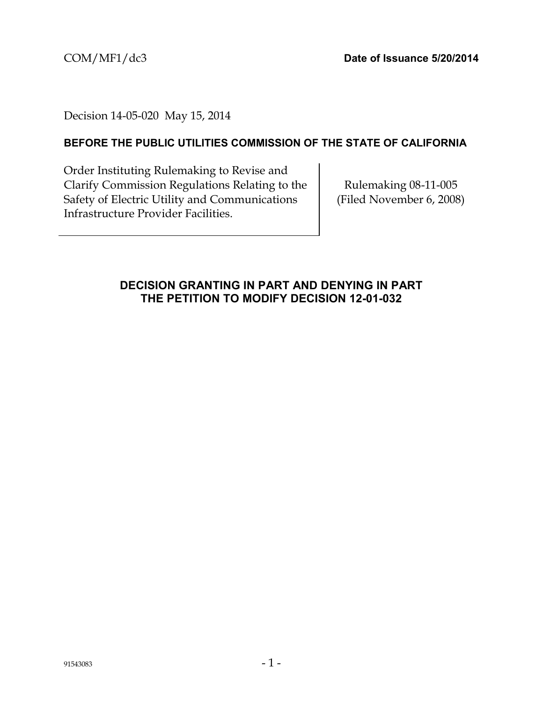Decision 14-05-020 May 15, 2014

### **BEFORE THE PUBLIC UTILITIES COMMISSION OF THE STATE OF CALIFORNIA**

Order Instituting Rulemaking to Revise and Clarify Commission Regulations Relating to the Safety of Electric Utility and Communications Infrastructure Provider Facilities.

Rulemaking 08-11-005 (Filed November 6, 2008)

### **DECISION GRANTING IN PART AND DENYING IN PART THE PETITION TO MODIFY DECISION 12-01-032**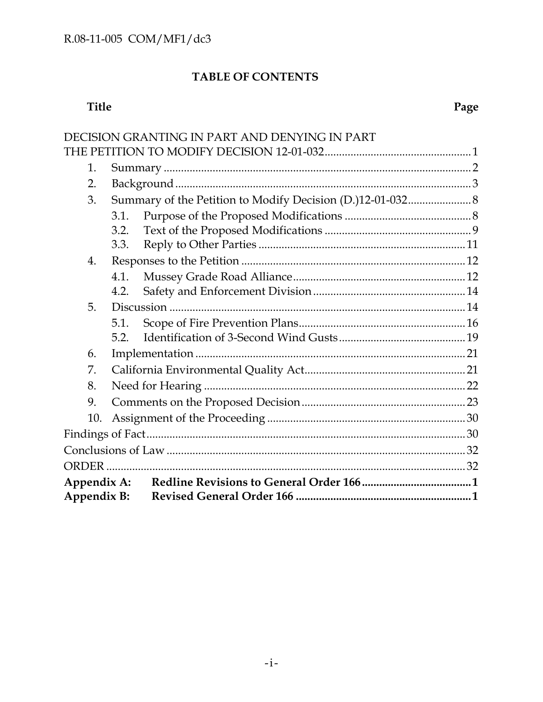# TABLE OF CONTENTS

# Title

| 10. |                                                            |                                               |  |  |  |  |
|-----|------------------------------------------------------------|-----------------------------------------------|--|--|--|--|
| 9.  |                                                            |                                               |  |  |  |  |
| 8.  |                                                            |                                               |  |  |  |  |
| 7.  |                                                            |                                               |  |  |  |  |
| 6.  |                                                            |                                               |  |  |  |  |
|     | 5.2.                                                       |                                               |  |  |  |  |
|     | 5.1.                                                       |                                               |  |  |  |  |
| 5.  |                                                            |                                               |  |  |  |  |
|     | 4.2.                                                       |                                               |  |  |  |  |
|     | 4.1.                                                       |                                               |  |  |  |  |
| 4.  |                                                            |                                               |  |  |  |  |
|     | 3.3.                                                       |                                               |  |  |  |  |
|     | 3.2.                                                       |                                               |  |  |  |  |
|     | 3.1.                                                       |                                               |  |  |  |  |
| 3.  | Summary of the Petition to Modify Decision (D.)12-01-032 8 |                                               |  |  |  |  |
| 2.  |                                                            |                                               |  |  |  |  |
| 1.  |                                                            |                                               |  |  |  |  |
|     |                                                            |                                               |  |  |  |  |
|     |                                                            | DECISION GRANTING IN PART AND DENYING IN PART |  |  |  |  |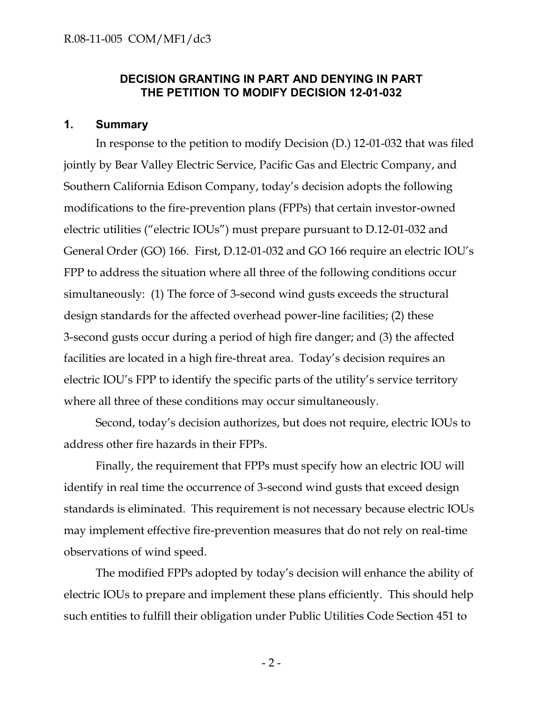#### **DECISION GRANTING IN PART AND DENYING IN PART THE PETITION TO MODIFY DECISION 12-01-032**

#### **1. Summary**

In response to the petition to modify Decision (D.) 12-01-032 that was filed jointly by Bear Valley Electric Service, Pacific Gas and Electric Company, and Southern California Edison Company, today's decision adopts the following modifications to the fire-prevention plans (FPPs) that certain investor-owned electric utilities ("electric IOUs") must prepare pursuant to D.12-01-032 and General Order (GO) 166. First, D.12-01-032 and GO 166 require an electric IOU's FPP to address the situation where all three of the following conditions occur simultaneously: (1) The force of 3-second wind gusts exceeds the structural design standards for the affected overhead power-line facilities; (2) these 3-second gusts occur during a period of high fire danger; and (3) the affected facilities are located in a high fire-threat area. Today's decision requires an electric IOU's FPP to identify the specific parts of the utility's service territory where all three of these conditions may occur simultaneously.

Second, today's decision authorizes, but does not require, electric IOUs to address other fire hazards in their FPPs.

Finally, the requirement that FPPs must specify how an electric IOU will identify in real time the occurrence of 3-second wind gusts that exceed design standards is eliminated. This requirement is not necessary because electric IOUs may implement effective fire-prevention measures that do not rely on real-time observations of wind speed.

The modified FPPs adopted by today's decision will enhance the ability of electric IOUs to prepare and implement these plans efficiently. This should help such entities to fulfill their obligation under Public Utilities Code Section 451 to

 $-2-$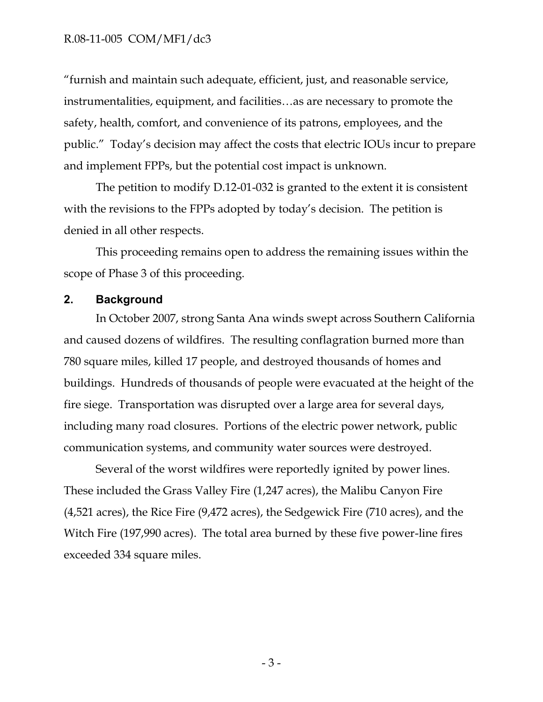#### R.08-11-005 COM/MF1/dc3

"furnish and maintain such adequate, efficient, just, and reasonable service, instrumentalities, equipment, and facilities…as are necessary to promote the safety, health, comfort, and convenience of its patrons, employees, and the public." Today's decision may affect the costs that electric IOUs incur to prepare and implement FPPs, but the potential cost impact is unknown.

The petition to modify D.12-01-032 is granted to the extent it is consistent with the revisions to the FPPs adopted by today's decision. The petition is denied in all other respects.

This proceeding remains open to address the remaining issues within the scope of Phase 3 of this proceeding.

#### **2. Background**

In October 2007, strong Santa Ana winds swept across Southern California and caused dozens of wildfires. The resulting conflagration burned more than 780 square miles, killed 17 people, and destroyed thousands of homes and buildings. Hundreds of thousands of people were evacuated at the height of the fire siege. Transportation was disrupted over a large area for several days, including many road closures. Portions of the electric power network, public communication systems, and community water sources were destroyed.

Several of the worst wildfires were reportedly ignited by power lines. These included the Grass Valley Fire (1,247 acres), the Malibu Canyon Fire (4,521 acres), the Rice Fire (9,472 acres), the Sedgewick Fire (710 acres), and the Witch Fire (197,990 acres). The total area burned by these five power-line fires exceeded 334 square miles.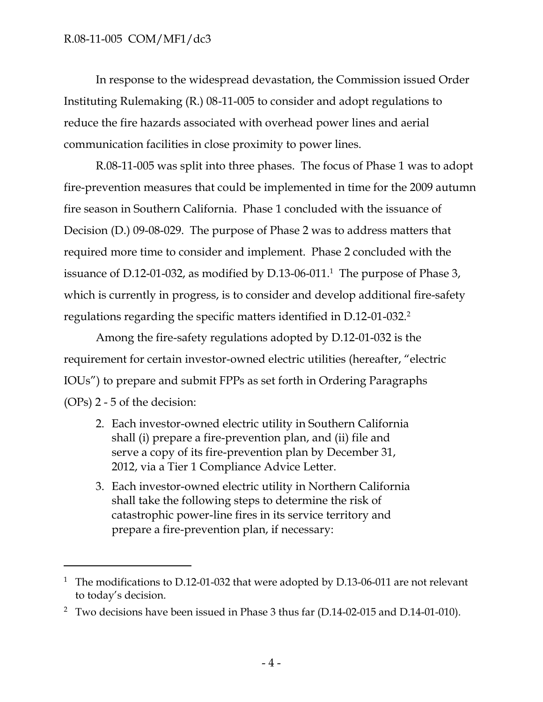$\overline{a}$ 

In response to the widespread devastation, the Commission issued Order Instituting Rulemaking (R.) 08-11-005 to consider and adopt regulations to reduce the fire hazards associated with overhead power lines and aerial communication facilities in close proximity to power lines.

R.08-11-005 was split into three phases. The focus of Phase 1 was to adopt fire-prevention measures that could be implemented in time for the 2009 autumn fire season in Southern California. Phase 1 concluded with the issuance of Decision (D.) 09-08-029. The purpose of Phase 2 was to address matters that required more time to consider and implement. Phase 2 concluded with the issuance of D.12-01-032, as modified by D.13-06-011.<sup>1</sup> The purpose of Phase 3, which is currently in progress, is to consider and develop additional fire-safety regulations regarding the specific matters identified in  $D.12$ -01-032. $^2$ 

Among the fire-safety regulations adopted by D.12-01-032 is the requirement for certain investor-owned electric utilities (hereafter, "electric IOUs") to prepare and submit FPPs as set forth in Ordering Paragraphs (OPs) 2 - 5 of the decision:

- 2. Each investor-owned electric utility in Southern California shall (i) prepare a fire-prevention plan, and (ii) file and serve a copy of its fire-prevention plan by December 31, 2012, via a Tier 1 Compliance Advice Letter.
- 3. Each investor-owned electric utility in Northern California shall take the following steps to determine the risk of catastrophic power-line fires in its service territory and prepare a fire-prevention plan, if necessary:

<sup>&</sup>lt;sup>1</sup> The modifications to D.12-01-032 that were adopted by D.13-06-011 are not relevant to today's decision.

<sup>2</sup> Two decisions have been issued in Phase 3 thus far (D.14-02-015 and D.14-01-010).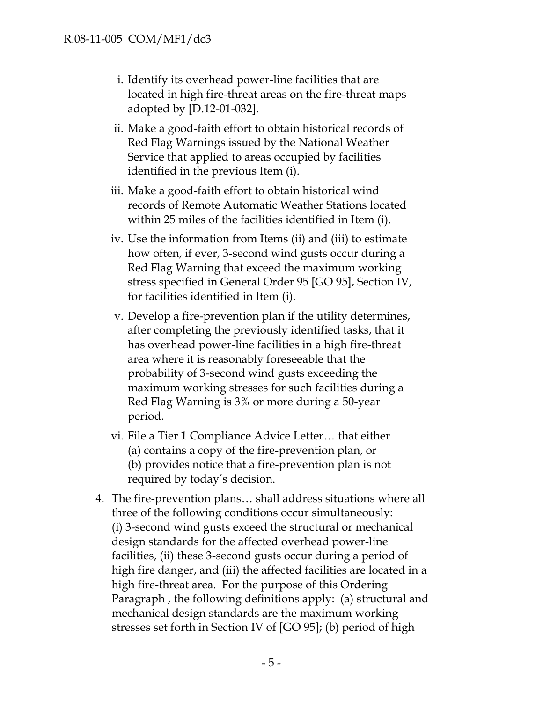- i. Identify its overhead power-line facilities that are located in high fire-threat areas on the fire-threat maps adopted by [D.12-01-032].
- ii. Make a good-faith effort to obtain historical records of Red Flag Warnings issued by the National Weather Service that applied to areas occupied by facilities identified in the previous Item (i).
- iii. Make a good-faith effort to obtain historical wind records of Remote Automatic Weather Stations located within 25 miles of the facilities identified in Item (i).
- iv. Use the information from Items (ii) and (iii) to estimate how often, if ever, 3-second wind gusts occur during a Red Flag Warning that exceed the maximum working stress specified in General Order 95 [GO 95], Section IV, for facilities identified in Item (i).
- v. Develop a fire-prevention plan if the utility determines, after completing the previously identified tasks, that it has overhead power-line facilities in a high fire-threat area where it is reasonably foreseeable that the probability of 3-second wind gusts exceeding the maximum working stresses for such facilities during a Red Flag Warning is 3% or more during a 50-year period.
- vi. File a Tier 1 Compliance Advice Letter… that either (a) contains a copy of the fire-prevention plan, or (b) provides notice that a fire-prevention plan is not required by today's decision.
- 4. The fire-prevention plans… shall address situations where all three of the following conditions occur simultaneously: (i) 3-second wind gusts exceed the structural or mechanical design standards for the affected overhead power-line facilities, (ii) these 3-second gusts occur during a period of high fire danger, and (iii) the affected facilities are located in a high fire-threat area. For the purpose of this Ordering Paragraph , the following definitions apply: (a) structural and mechanical design standards are the maximum working stresses set forth in Section IV of [GO 95]; (b) period of high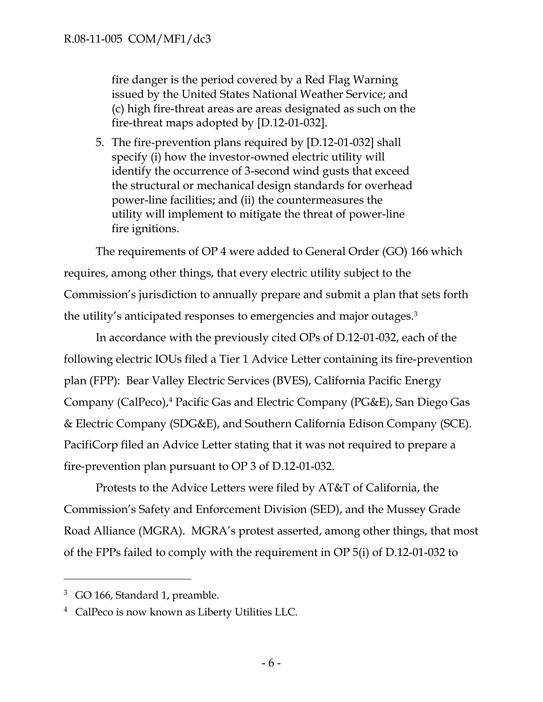fire danger is the period covered by a Red Flag Warning issued by the United States National Weather Service; and (c) high fire-threat areas are areas designated as such on the fire-threat maps adopted by [D.12-01-032].

5. The fire-prevention plans required by [D.12-01-032] shall specify (i) how the investor-owned electric utility will identify the occurrence of 3-second wind gusts that exceed the structural or mechanical design standards for overhead power-line facilities; and (ii) the countermeasures the utility will implement to mitigate the threat of power-line fire ignitions.

The requirements of OP 4 were added to General Order (GO) 166 which requires, among other things, that every electric utility subject to the Commission's jurisdiction to annually prepare and submit a plan that sets forth the utility's anticipated responses to emergencies and major outages.<sup>3</sup>

In accordance with the previously cited OPs of D.12-01-032, each of the following electric IOUs filed a Tier 1 Advice Letter containing its fire-prevention plan (FPP): Bear Valley Electric Services (BVES), California Pacific Energy Company (CalPeco),<sup>4</sup> Pacific Gas and Electric Company (PG&E), San Diego Gas & Electric Company (SDG&E), and Southern California Edison Company (SCE). PacifiCorp filed an Advice Letter stating that it was not required to prepare a fire-prevention plan pursuant to OP 3 of D.12-01-032.

Protests to the Advice Letters were filed by AT&T of California, the Commission's Safety and Enforcement Division (SED), and the Mussey Grade Road Alliance (MGRA). MGRA's protest asserted, among other things, that most of the FPPs failed to comply with the requirement in OP 5(i) of D.12-01-032 to

<sup>&</sup>lt;sup>3</sup> GO 166, Standard 1, preamble.

<sup>4</sup> CalPeco is now known as Liberty Utilities LLC.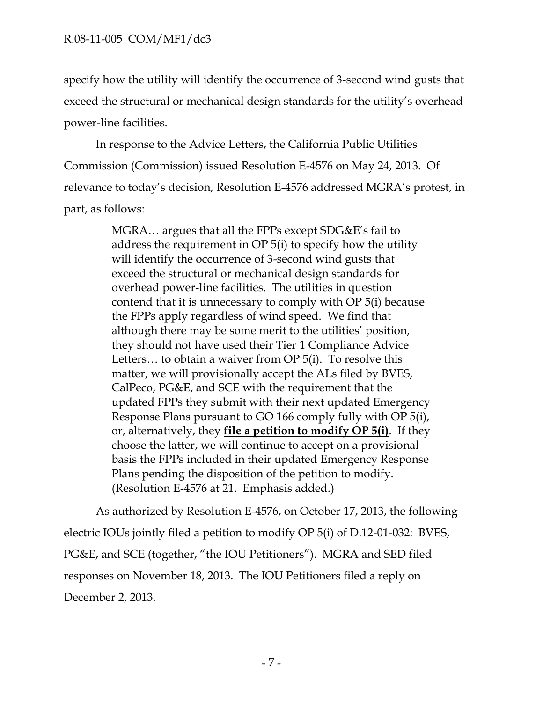specify how the utility will identify the occurrence of 3-second wind gusts that exceed the structural or mechanical design standards for the utility's overhead power-line facilities.

In response to the Advice Letters, the California Public Utilities Commission (Commission) issued Resolution E-4576 on May 24, 2013. Of relevance to today's decision, Resolution E-4576 addressed MGRA's protest, in part, as follows:

> MGRA… argues that all the FPPs except SDG&E's fail to address the requirement in OP 5(i) to specify how the utility will identify the occurrence of 3-second wind gusts that exceed the structural or mechanical design standards for overhead power-line facilities. The utilities in question contend that it is unnecessary to comply with OP 5(i) because the FPPs apply regardless of wind speed. We find that although there may be some merit to the utilities' position, they should not have used their Tier 1 Compliance Advice Letters… to obtain a waiver from OP 5(i). To resolve this matter, we will provisionally accept the ALs filed by BVES, CalPeco, PG&E, and SCE with the requirement that the updated FPPs they submit with their next updated Emergency Response Plans pursuant to GO 166 comply fully with OP 5(i), or, alternatively, they **file a petition to modify OP 5(i)**. If they choose the latter, we will continue to accept on a provisional basis the FPPs included in their updated Emergency Response Plans pending the disposition of the petition to modify. (Resolution E-4576 at 21. Emphasis added.)

As authorized by Resolution E-4576, on October 17, 2013, the following electric IOUs jointly filed a petition to modify OP 5(i) of D.12-01-032: BVES, PG&E, and SCE (together, "the IOU Petitioners"). MGRA and SED filed responses on November 18, 2013. The IOU Petitioners filed a reply on December 2, 2013.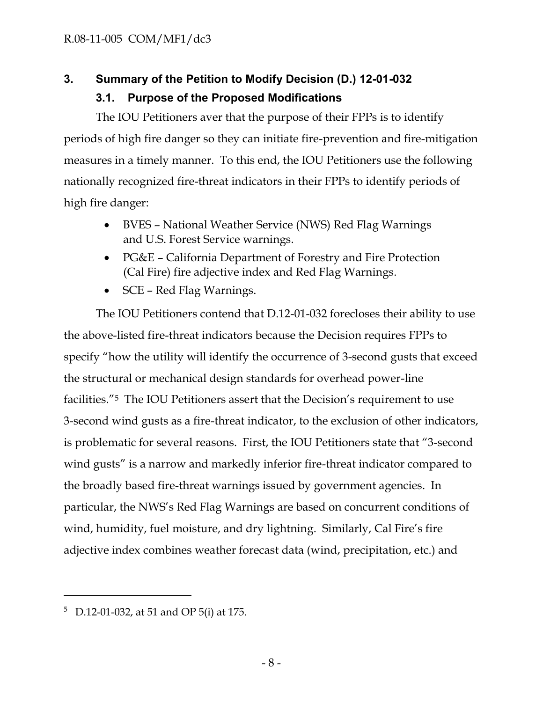# **3. Summary of the Petition to Modify Decision (D.) 12-01-032**

## **3.1. Purpose of the Proposed Modifications**

The IOU Petitioners aver that the purpose of their FPPs is to identify periods of high fire danger so they can initiate fire-prevention and fire-mitigation measures in a timely manner. To this end, the IOU Petitioners use the following nationally recognized fire-threat indicators in their FPPs to identify periods of high fire danger:

- BVES National Weather Service (NWS) Red Flag Warnings and U.S. Forest Service warnings.
- PG&E California Department of Forestry and Fire Protection (Cal Fire) fire adjective index and Red Flag Warnings.
- SCE Red Flag Warnings.

The IOU Petitioners contend that D.12-01-032 forecloses their ability to use the above-listed fire-threat indicators because the Decision requires FPPs to specify "how the utility will identify the occurrence of 3-second gusts that exceed the structural or mechanical design standards for overhead power-line facilities."5 The IOU Petitioners assert that the Decision's requirement to use 3-second wind gusts as a fire-threat indicator, to the exclusion of other indicators, is problematic for several reasons. First, the IOU Petitioners state that "3-second wind gusts" is a narrow and markedly inferior fire-threat indicator compared to the broadly based fire-threat warnings issued by government agencies. In particular, the NWS's Red Flag Warnings are based on concurrent conditions of wind, humidity, fuel moisture, and dry lightning. Similarly, Cal Fire's fire adjective index combines weather forecast data (wind, precipitation, etc.) and

<sup>5</sup> D.12-01-032, at 51 and OP 5(i) at 175.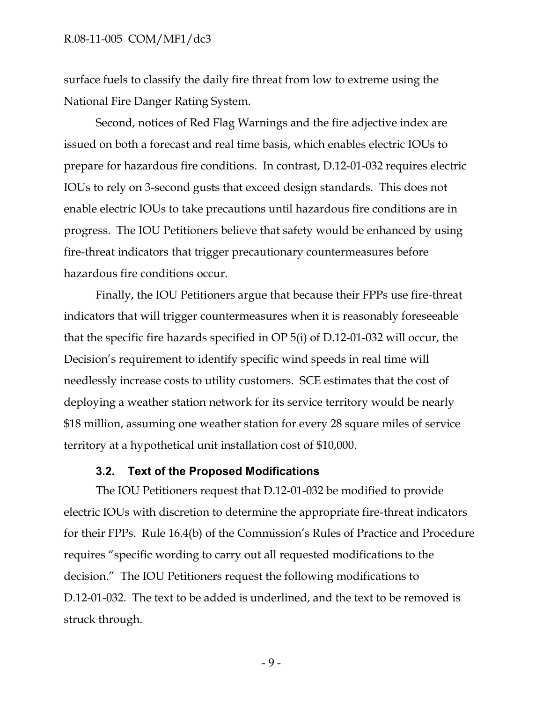surface fuels to classify the daily fire threat from low to extreme using the National Fire Danger Rating System.

Second, notices of Red Flag Warnings and the fire adjective index are issued on both a forecast and real time basis, which enables electric IOUs to prepare for hazardous fire conditions. In contrast, D.12-01-032 requires electric IOUs to rely on 3-second gusts that exceed design standards. This does not enable electric IOUs to take precautions until hazardous fire conditions are in progress. The IOU Petitioners believe that safety would be enhanced by using fire-threat indicators that trigger precautionary countermeasures before hazardous fire conditions occur.

Finally, the IOU Petitioners argue that because their FPPs use fire-threat indicators that will trigger countermeasures when it is reasonably foreseeable that the specific fire hazards specified in OP 5(i) of D.12-01-032 will occur, the Decision's requirement to identify specific wind speeds in real time will needlessly increase costs to utility customers. SCE estimates that the cost of deploying a weather station network for its service territory would be nearly \$18 million, assuming one weather station for every 28 square miles of service territory at a hypothetical unit installation cost of \$10,000.

#### **3.2. Text of the Proposed Modifications**

The IOU Petitioners request that D.12-01-032 be modified to provide electric IOUs with discretion to determine the appropriate fire-threat indicators for their FPPs. Rule 16.4(b) of the Commission's Rules of Practice and Procedure requires "specific wording to carry out all requested modifications to the decision." The IOU Petitioners request the following modifications to D.12-01-032. The text to be added is underlined, and the text to be removed is struck through.

- 9 -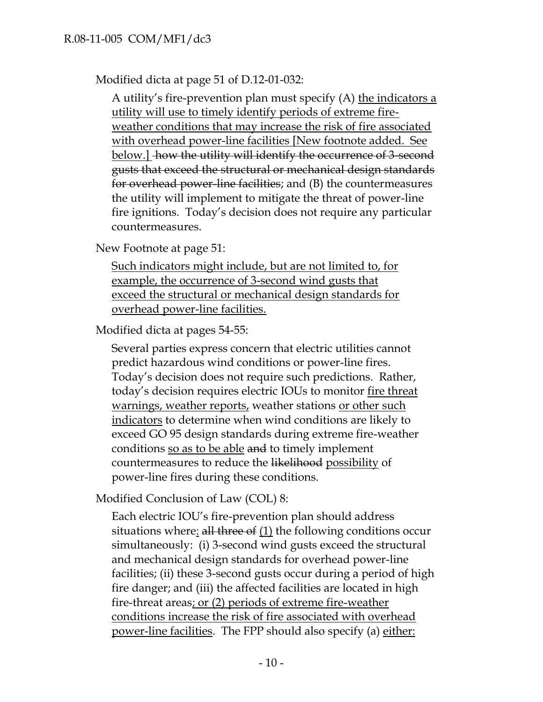Modified dicta at page 51 of D.12-01-032:

A utility's fire-prevention plan must specify (A) the indicators a utility will use to timely identify periods of extreme fireweather conditions that may increase the risk of fire associated with overhead power-line facilities [New footnote added. See below.] how the utility will identify the occurrence of 3-second gusts that exceed the structural or mechanical design standards for overhead power-line facilities; and (B) the countermeasures the utility will implement to mitigate the threat of power-line fire ignitions. Today's decision does not require any particular countermeasures.

New Footnote at page 51:

Such indicators might include, but are not limited to, for example, the occurrence of 3-second wind gusts that exceed the structural or mechanical design standards for overhead power-line facilities.

Modified dicta at pages 54-55:

Several parties express concern that electric utilities cannot predict hazardous wind conditions or power-line fires. Today's decision does not require such predictions. Rather, today's decision requires electric IOUs to monitor fire threat warnings, weather reports, weather stations or other such indicators to determine when wind conditions are likely to exceed GO 95 design standards during extreme fire-weather conditions so as to be able and to timely implement countermeasures to reduce the likelihood possibility of power-line fires during these conditions.

Modified Conclusion of Law (COL) 8:

Each electric IOU's fire-prevention plan should address situations where: all three of (1) the following conditions occur simultaneously: (i) 3-second wind gusts exceed the structural and mechanical design standards for overhead power-line facilities; (ii) these 3-second gusts occur during a period of high fire danger; and (iii) the affected facilities are located in high fire-threat areas; or (2) periods of extreme fire-weather conditions increase the risk of fire associated with overhead power-line facilities. The FPP should also specify (a) either: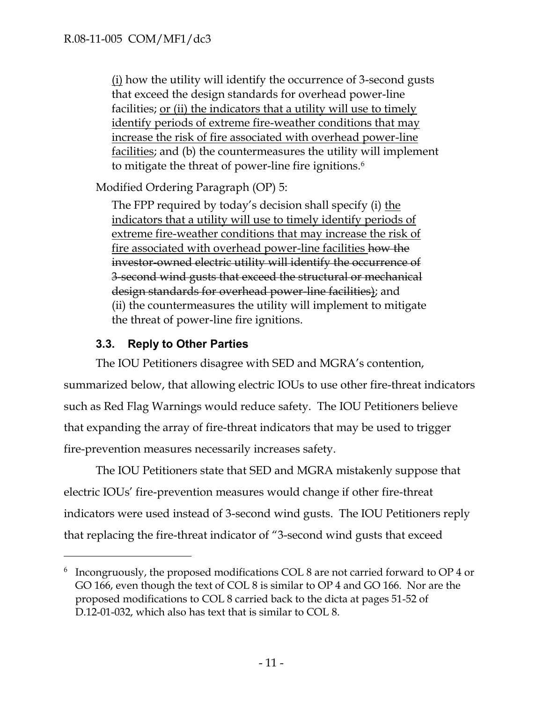(i) how the utility will identify the occurrence of 3-second gusts that exceed the design standards for overhead power-line facilities; or (ii) the indicators that a utility will use to timely identify periods of extreme fire-weather conditions that may increase the risk of fire associated with overhead power-line facilities; and (b) the countermeasures the utility will implement to mitigate the threat of power-line fire ignitions.<sup>6</sup>

Modified Ordering Paragraph (OP) 5:

The FPP required by today's decision shall specify (i) the indicators that a utility will use to timely identify periods of extreme fire-weather conditions that may increase the risk of fire associated with overhead power-line facilities how the investor-owned electric utility will identify the occurrence of 3-second wind gusts that exceed the structural or mechanical design standards for overhead power-line facilities); and (ii) the countermeasures the utility will implement to mitigate the threat of power-line fire ignitions.

### **3.3. Reply to Other Parties**

 $\overline{a}$ 

The IOU Petitioners disagree with SED and MGRA's contention, summarized below, that allowing electric IOUs to use other fire-threat indicators such as Red Flag Warnings would reduce safety. The IOU Petitioners believe that expanding the array of fire-threat indicators that may be used to trigger fire-prevention measures necessarily increases safety.

The IOU Petitioners state that SED and MGRA mistakenly suppose that electric IOUs' fire-prevention measures would change if other fire-threat indicators were used instead of 3-second wind gusts. The IOU Petitioners reply that replacing the fire-threat indicator of "3-second wind gusts that exceed

<sup>6</sup> Incongruously, the proposed modifications COL 8 are not carried forward to OP 4 or GO 166, even though the text of COL 8 is similar to OP 4 and GO 166. Nor are the proposed modifications to COL 8 carried back to the dicta at pages 51-52 of D.12-01-032, which also has text that is similar to COL 8.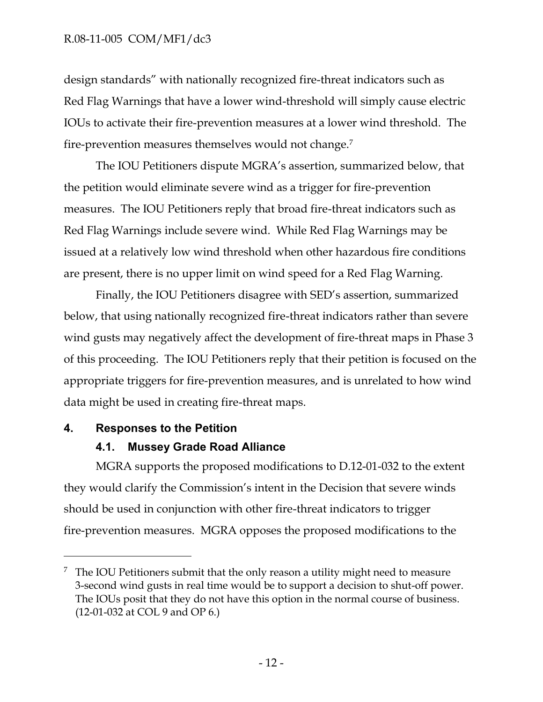design standards" with nationally recognized fire-threat indicators such as Red Flag Warnings that have a lower wind-threshold will simply cause electric IOUs to activate their fire-prevention measures at a lower wind threshold. The fire-prevention measures themselves would not change.<sup>7</sup>

The IOU Petitioners dispute MGRA's assertion, summarized below, that the petition would eliminate severe wind as a trigger for fire-prevention measures. The IOU Petitioners reply that broad fire-threat indicators such as Red Flag Warnings include severe wind. While Red Flag Warnings may be issued at a relatively low wind threshold when other hazardous fire conditions are present, there is no upper limit on wind speed for a Red Flag Warning.

Finally, the IOU Petitioners disagree with SED's assertion, summarized below, that using nationally recognized fire-threat indicators rather than severe wind gusts may negatively affect the development of fire-threat maps in Phase 3 of this proceeding. The IOU Petitioners reply that their petition is focused on the appropriate triggers for fire-prevention measures, and is unrelated to how wind data might be used in creating fire-threat maps.

### **4. Responses to the Petition**

 $\overline{a}$ 

### **4.1. Mussey Grade Road Alliance**

MGRA supports the proposed modifications to D.12-01-032 to the extent they would clarify the Commission's intent in the Decision that severe winds should be used in conjunction with other fire-threat indicators to trigger fire-prevention measures. MGRA opposes the proposed modifications to the

 $7$  The IOU Petitioners submit that the only reason a utility might need to measure 3-second wind gusts in real time would be to support a decision to shut-off power. The IOUs posit that they do not have this option in the normal course of business. (12-01-032 at COL 9 and OP 6.)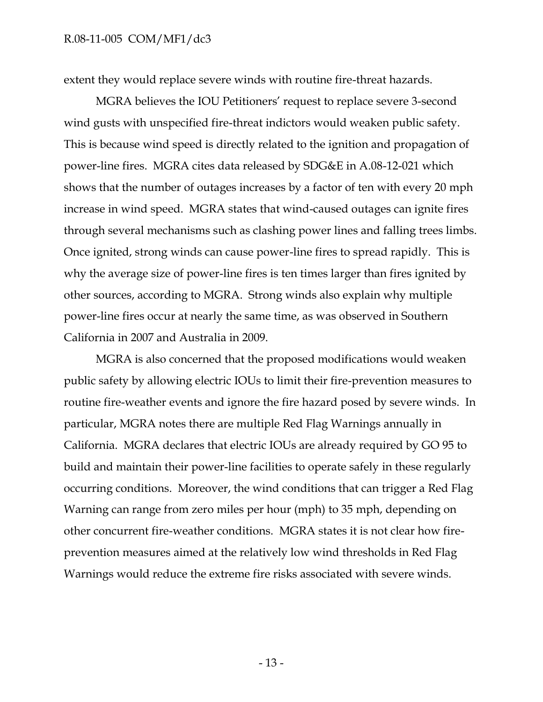extent they would replace severe winds with routine fire-threat hazards.

MGRA believes the IOU Petitioners' request to replace severe 3-second wind gusts with unspecified fire-threat indictors would weaken public safety. This is because wind speed is directly related to the ignition and propagation of power-line fires. MGRA cites data released by SDG&E in A.08-12-021 which shows that the number of outages increases by a factor of ten with every 20 mph increase in wind speed. MGRA states that wind-caused outages can ignite fires through several mechanisms such as clashing power lines and falling trees limbs. Once ignited, strong winds can cause power-line fires to spread rapidly. This is why the average size of power-line fires is ten times larger than fires ignited by other sources, according to MGRA. Strong winds also explain why multiple power-line fires occur at nearly the same time, as was observed in Southern California in 2007 and Australia in 2009.

MGRA is also concerned that the proposed modifications would weaken public safety by allowing electric IOUs to limit their fire-prevention measures to routine fire-weather events and ignore the fire hazard posed by severe winds. In particular, MGRA notes there are multiple Red Flag Warnings annually in California. MGRA declares that electric IOUs are already required by GO 95 to build and maintain their power-line facilities to operate safely in these regularly occurring conditions. Moreover, the wind conditions that can trigger a Red Flag Warning can range from zero miles per hour (mph) to 35 mph, depending on other concurrent fire-weather conditions. MGRA states it is not clear how fireprevention measures aimed at the relatively low wind thresholds in Red Flag Warnings would reduce the extreme fire risks associated with severe winds.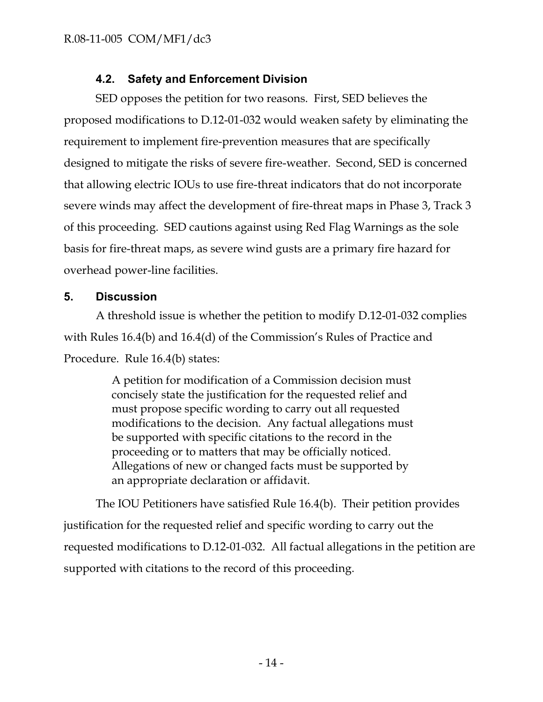## **4.2. Safety and Enforcement Division**

SED opposes the petition for two reasons. First, SED believes the proposed modifications to D.12-01-032 would weaken safety by eliminating the requirement to implement fire-prevention measures that are specifically designed to mitigate the risks of severe fire-weather. Second, SED is concerned that allowing electric IOUs to use fire-threat indicators that do not incorporate severe winds may affect the development of fire-threat maps in Phase 3, Track 3 of this proceeding. SED cautions against using Red Flag Warnings as the sole basis for fire-threat maps, as severe wind gusts are a primary fire hazard for overhead power-line facilities.

### **5. Discussion**

A threshold issue is whether the petition to modify D.12-01-032 complies with Rules 16.4(b) and 16.4(d) of the Commission's Rules of Practice and Procedure. Rule 16.4(b) states:

> A petition for modification of a Commission decision must concisely state the justification for the requested relief and must propose specific wording to carry out all requested modifications to the decision. Any factual allegations must be supported with specific citations to the record in the proceeding or to matters that may be officially noticed. Allegations of new or changed facts must be supported by an appropriate declaration or affidavit.

The IOU Petitioners have satisfied Rule 16.4(b). Their petition provides justification for the requested relief and specific wording to carry out the requested modifications to D.12-01-032. All factual allegations in the petition are supported with citations to the record of this proceeding.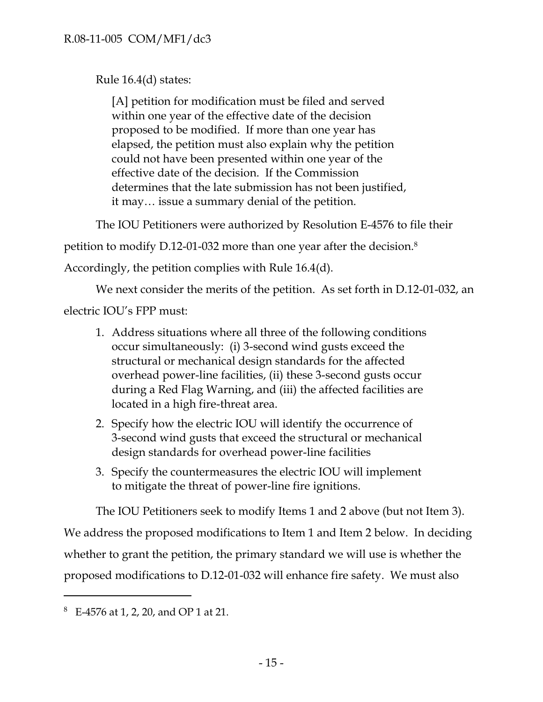```
Rule 16.4(d) states:
```
[A] petition for modification must be filed and served within one year of the effective date of the decision proposed to be modified. If more than one year has elapsed, the petition must also explain why the petition could not have been presented within one year of the effective date of the decision. If the Commission determines that the late submission has not been justified, it may… issue a summary denial of the petition.

The IOU Petitioners were authorized by Resolution E-4576 to file their

petition to modify D.12-01-032 more than one year after the decision. $8$ 

Accordingly, the petition complies with Rule 16.4(d).

We next consider the merits of the petition. As set forth in D.12-01-032, an

electric IOU's FPP must:

- 1. Address situations where all three of the following conditions occur simultaneously: (i) 3-second wind gusts exceed the structural or mechanical design standards for the affected overhead power-line facilities, (ii) these 3-second gusts occur during a Red Flag Warning, and (iii) the affected facilities are located in a high fire-threat area.
- 2. Specify how the electric IOU will identify the occurrence of 3-second wind gusts that exceed the structural or mechanical design standards for overhead power-line facilities
- 3. Specify the countermeasures the electric IOU will implement to mitigate the threat of power-line fire ignitions.

The IOU Petitioners seek to modify Items 1 and 2 above (but not Item 3).

We address the proposed modifications to Item 1 and Item 2 below. In deciding whether to grant the petition, the primary standard we will use is whether the proposed modifications to D.12-01-032 will enhance fire safety. We must also

 $8\text{ E-4576}$  at 1, 2, 20, and OP 1 at 21.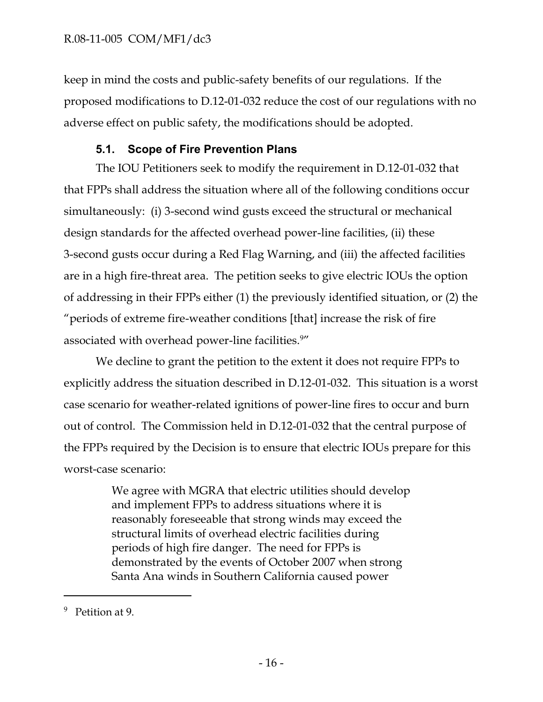keep in mind the costs and public-safety benefits of our regulations. If the proposed modifications to D.12-01-032 reduce the cost of our regulations with no adverse effect on public safety, the modifications should be adopted.

### **5.1. Scope of Fire Prevention Plans**

The IOU Petitioners seek to modify the requirement in D.12-01-032 that that FPPs shall address the situation where all of the following conditions occur simultaneously: (i) 3-second wind gusts exceed the structural or mechanical design standards for the affected overhead power-line facilities, (ii) these 3-second gusts occur during a Red Flag Warning, and (iii) the affected facilities are in a high fire-threat area. The petition seeks to give electric IOUs the option of addressing in their FPPs either (1) the previously identified situation, or (2) the "periods of extreme fire-weather conditions [that] increase the risk of fire associated with overhead power-line facilities.<sup>9</sup>"

We decline to grant the petition to the extent it does not require FPPs to explicitly address the situation described in D.12-01-032. This situation is a worst case scenario for weather-related ignitions of power-line fires to occur and burn out of control. The Commission held in D.12-01-032 that the central purpose of the FPPs required by the Decision is to ensure that electric IOUs prepare for this worst-case scenario:

> We agree with MGRA that electric utilities should develop and implement FPPs to address situations where it is reasonably foreseeable that strong winds may exceed the structural limits of overhead electric facilities during periods of high fire danger. The need for FPPs is demonstrated by the events of October 2007 when strong Santa Ana winds in Southern California caused power

<sup>&</sup>lt;sup>9</sup> Petition at 9.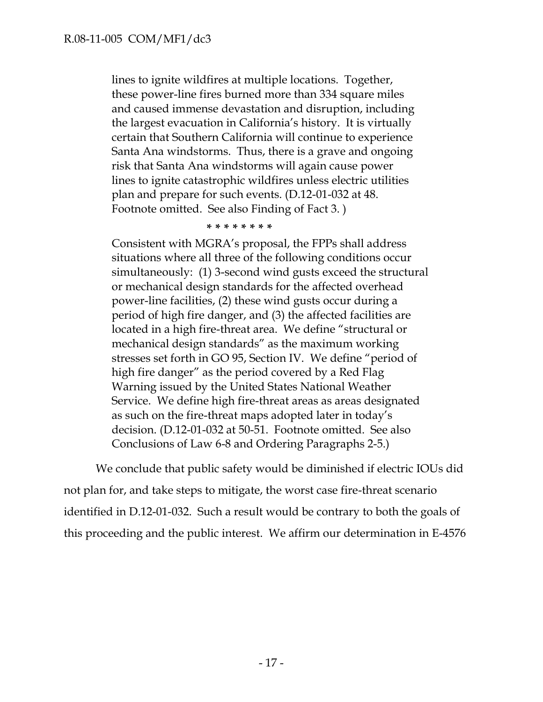lines to ignite wildfires at multiple locations. Together, these power-line fires burned more than 334 square miles and caused immense devastation and disruption, including the largest evacuation in California's history. It is virtually certain that Southern California will continue to experience Santa Ana windstorms. Thus, there is a grave and ongoing risk that Santa Ana windstorms will again cause power lines to ignite catastrophic wildfires unless electric utilities plan and prepare for such events. (D.12-01-032 at 48. Footnote omitted. See also Finding of Fact 3. )

**\* \* \* \* \* \* \* \***

Consistent with MGRA's proposal, the FPPs shall address situations where all three of the following conditions occur simultaneously: (1) 3-second wind gusts exceed the structural or mechanical design standards for the affected overhead power-line facilities, (2) these wind gusts occur during a period of high fire danger, and (3) the affected facilities are located in a high fire-threat area. We define "structural or mechanical design standards" as the maximum working stresses set forth in GO 95, Section IV. We define "period of high fire danger" as the period covered by a Red Flag Warning issued by the United States National Weather Service. We define high fire-threat areas as areas designated as such on the fire-threat maps adopted later in today's decision. (D.12-01-032 at 50-51. Footnote omitted. See also Conclusions of Law 6-8 and Ordering Paragraphs 2-5.)

We conclude that public safety would be diminished if electric IOUs did not plan for, and take steps to mitigate, the worst case fire-threat scenario identified in D.12-01-032. Such a result would be contrary to both the goals of this proceeding and the public interest. We affirm our determination in E-4576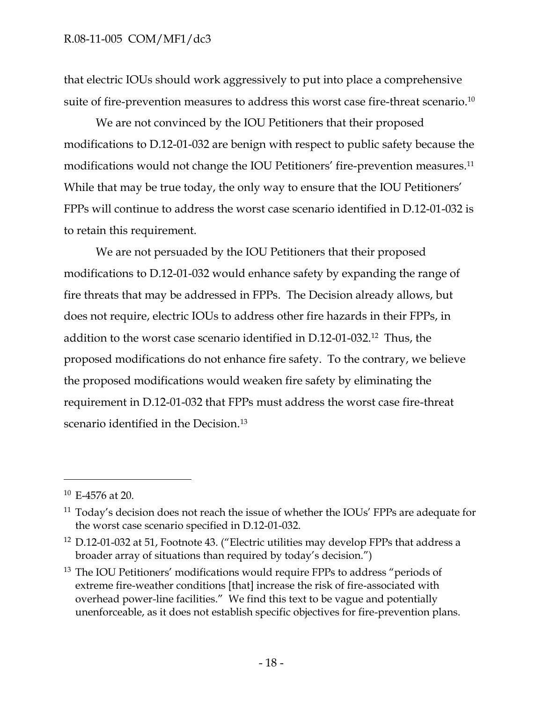that electric IOUs should work aggressively to put into place a comprehensive suite of fire-prevention measures to address this worst case fire-threat scenario. 10

We are not convinced by the IOU Petitioners that their proposed modifications to D.12-01-032 are benign with respect to public safety because the modifications would not change the IOU Petitioners' fire-prevention measures.<sup>11</sup> While that may be true today, the only way to ensure that the IOU Petitioners' FPPs will continue to address the worst case scenario identified in D.12-01-032 is to retain this requirement.

We are not persuaded by the IOU Petitioners that their proposed modifications to D.12-01-032 would enhance safety by expanding the range of fire threats that may be addressed in FPPs. The Decision already allows, but does not require, electric IOUs to address other fire hazards in their FPPs, in addition to the worst case scenario identified in D.12-01-032.<sup>12</sup> Thus, the proposed modifications do not enhance fire safety. To the contrary, we believe the proposed modifications would weaken fire safety by eliminating the requirement in D.12-01-032 that FPPs must address the worst case fire-threat scenario identified in the Decision.<sup>13</sup>

 $10$  E-4576 at 20.

 $11$  Today's decision does not reach the issue of whether the IOUs' FPPs are adequate for the worst case scenario specified in D.12-01-032.

<sup>12</sup> D.12-01-032 at 51, Footnote 43. ("Electric utilities may develop FPPs that address a broader array of situations than required by today's decision.")

<sup>13</sup> The IOU Petitioners' modifications would require FPPs to address "periods of extreme fire-weather conditions [that] increase the risk of fire-associated with overhead power-line facilities." We find this text to be vague and potentially unenforceable, as it does not establish specific objectives for fire-prevention plans.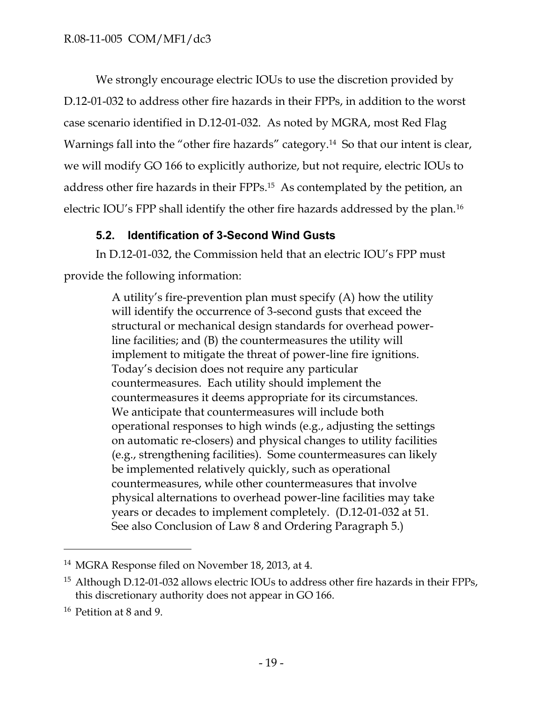We strongly encourage electric IOUs to use the discretion provided by D.12-01-032 to address other fire hazards in their FPPs, in addition to the worst case scenario identified in D.12-01-032. As noted by MGRA, most Red Flag Warnings fall into the "other fire hazards" category.<sup>14</sup> So that our intent is clear, we will modify GO 166 to explicitly authorize, but not require, electric IOUs to address other fire hazards in their FPPs.<sup>15</sup> As contemplated by the petition, an electric IOU's FPP shall identify the other fire hazards addressed by the plan.<sup>16</sup>

### **5.2. Identification of 3-Second Wind Gusts**

In D.12-01-032, the Commission held that an electric IOU's FPP must provide the following information:

> A utility's fire-prevention plan must specify (A) how the utility will identify the occurrence of 3-second gusts that exceed the structural or mechanical design standards for overhead powerline facilities; and (B) the countermeasures the utility will implement to mitigate the threat of power-line fire ignitions. Today's decision does not require any particular countermeasures. Each utility should implement the countermeasures it deems appropriate for its circumstances. We anticipate that countermeasures will include both operational responses to high winds (e.g., adjusting the settings on automatic re-closers) and physical changes to utility facilities (e.g., strengthening facilities). Some countermeasures can likely be implemented relatively quickly, such as operational countermeasures, while other countermeasures that involve physical alternations to overhead power-line facilities may take years or decades to implement completely. (D.12-01-032 at 51. See also Conclusion of Law 8 and Ordering Paragraph 5.)

<sup>14</sup> MGRA Response filed on November 18, 2013, at 4.

<sup>&</sup>lt;sup>15</sup> Although D.12-01-032 allows electric IOUs to address other fire hazards in their FPPs, this discretionary authority does not appear in GO 166.

<sup>16</sup> Petition at 8 and 9.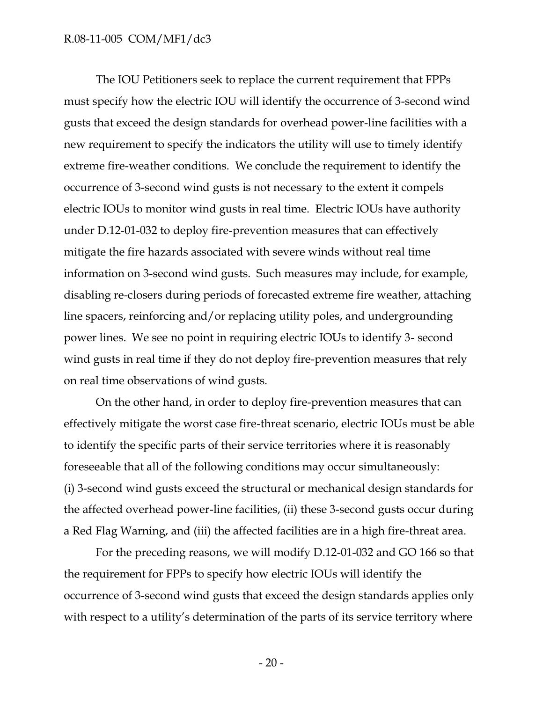#### R.08-11-005 COM/MF1/dc3

The IOU Petitioners seek to replace the current requirement that FPPs must specify how the electric IOU will identify the occurrence of 3-second wind gusts that exceed the design standards for overhead power-line facilities with a new requirement to specify the indicators the utility will use to timely identify extreme fire-weather conditions. We conclude the requirement to identify the occurrence of 3-second wind gusts is not necessary to the extent it compels electric IOUs to monitor wind gusts in real time. Electric IOUs have authority under D.12-01-032 to deploy fire-prevention measures that can effectively mitigate the fire hazards associated with severe winds without real time information on 3-second wind gusts. Such measures may include, for example, disabling re-closers during periods of forecasted extreme fire weather, attaching line spacers, reinforcing and/or replacing utility poles, and undergrounding power lines. We see no point in requiring electric IOUs to identify 3- second wind gusts in real time if they do not deploy fire-prevention measures that rely on real time observations of wind gusts.

On the other hand, in order to deploy fire-prevention measures that can effectively mitigate the worst case fire-threat scenario, electric IOUs must be able to identify the specific parts of their service territories where it is reasonably foreseeable that all of the following conditions may occur simultaneously: (i) 3-second wind gusts exceed the structural or mechanical design standards for the affected overhead power-line facilities, (ii) these 3-second gusts occur during a Red Flag Warning, and (iii) the affected facilities are in a high fire-threat area.

For the preceding reasons, we will modify D.12-01-032 and GO 166 so that the requirement for FPPs to specify how electric IOUs will identify the occurrence of 3-second wind gusts that exceed the design standards applies only with respect to a utility's determination of the parts of its service territory where

- 20 -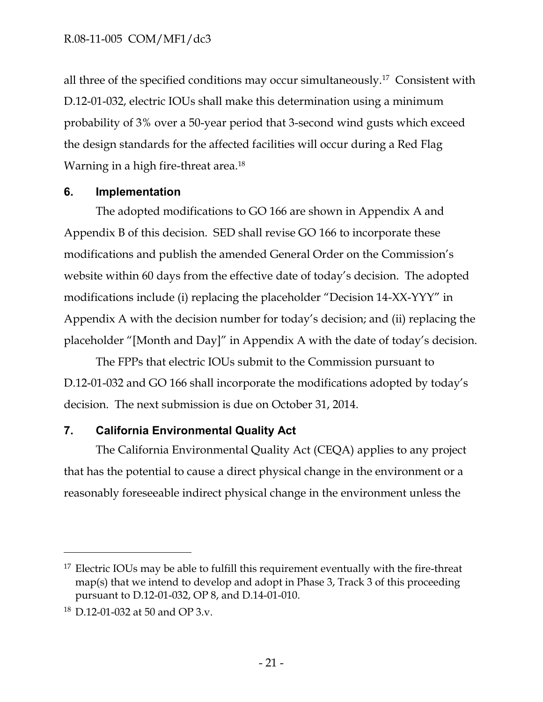all three of the specified conditions may occur simultaneously.<sup>17</sup> Consistent with D.12-01-032, electric IOUs shall make this determination using a minimum probability of 3% over a 50-year period that 3-second wind gusts which exceed the design standards for the affected facilities will occur during a Red Flag Warning in a high fire-threat area.<sup>18</sup>

#### **6. Implementation**

The adopted modifications to GO 166 are shown in Appendix A and Appendix B of this decision. SED shall revise GO 166 to incorporate these modifications and publish the amended General Order on the Commission's website within 60 days from the effective date of today's decision. The adopted modifications include (i) replacing the placeholder "Decision 14-XX-YYY" in Appendix A with the decision number for today's decision; and (ii) replacing the placeholder "[Month and Day]" in Appendix A with the date of today's decision.

The FPPs that electric IOUs submit to the Commission pursuant to D.12-01-032 and GO 166 shall incorporate the modifications adopted by today's decision. The next submission is due on October 31, 2014.

## **7. California Environmental Quality Act**

The California Environmental Quality Act (CEQA) applies to any project that has the potential to cause a direct physical change in the environment or a reasonably foreseeable indirect physical change in the environment unless the

 $17$  Electric IOUs may be able to fulfill this requirement eventually with the fire-threat map(s) that we intend to develop and adopt in Phase 3, Track 3 of this proceeding pursuant to D.12-01-032, OP 8, and D.14-01-010.

<sup>18</sup> D.12-01-032 at 50 and OP 3.v.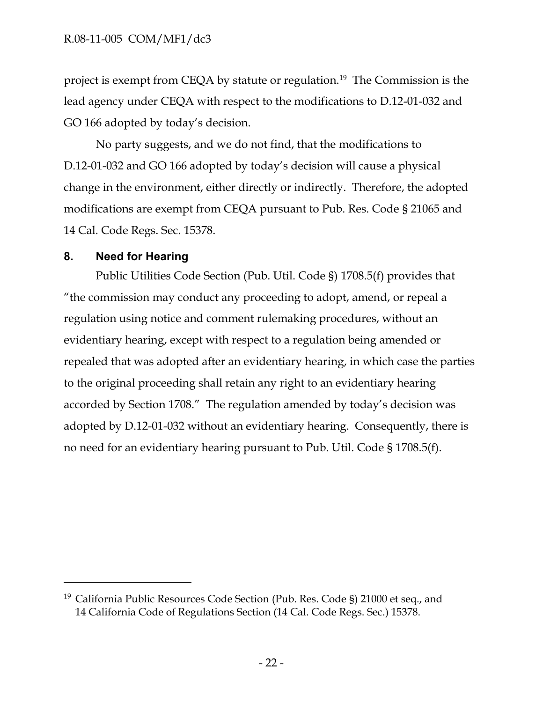project is exempt from CEQA by statute or regulation.<sup>19</sup> The Commission is the lead agency under CEQA with respect to the modifications to D.12-01-032 and GO 166 adopted by today's decision.

No party suggests, and we do not find, that the modifications to D.12-01-032 and GO 166 adopted by today's decision will cause a physical change in the environment, either directly or indirectly. Therefore, the adopted modifications are exempt from CEQA pursuant to Pub. Res. Code § 21065 and 14 Cal. Code Regs. Sec. 15378.

### **8. Need for Hearing**

 $\overline{a}$ 

Public Utilities Code Section (Pub. Util. Code §) 1708.5(f) provides that "the commission may conduct any proceeding to adopt, amend, or repeal a regulation using notice and comment rulemaking procedures, without an evidentiary hearing, except with respect to a regulation being amended or repealed that was adopted after an evidentiary hearing, in which case the parties to the original proceeding shall retain any right to an evidentiary hearing accorded by Section 1708." The regulation amended by today's decision was adopted by D.12-01-032 without an evidentiary hearing. Consequently, there is no need for an evidentiary hearing pursuant to Pub. Util. Code § 1708.5(f).

<sup>19</sup> [California Public Resources Code Section \(Pub. Res. Code](http://www.lexis.com/research/buttonTFLink?_m=843f41e5997dd8f4d83066b4f6a9fa19&_xfercite=%3ccite%20cc%3d%22USA%22%3e%3c%21%5bCDATA%5b2010%20Cal.%20PUC%20LEXIS%20401%5d%5d%3e%3c%2fcite%3e&_butType=4&_butStat=0&_butNum=3&_butInline=1&_butinfo=CA%20PUB%20RES%2021000&_fmtstr=FULL&docnum=4&_startdoc=1&wchp=dGLzVzb-zSkAb&_md5=a71881c6cc1886c07a6322c5458a5df9) §) 21000 et seq., and 14 California Code of Regulations Section (14 Cal. Code Regs. Sec.) 15378.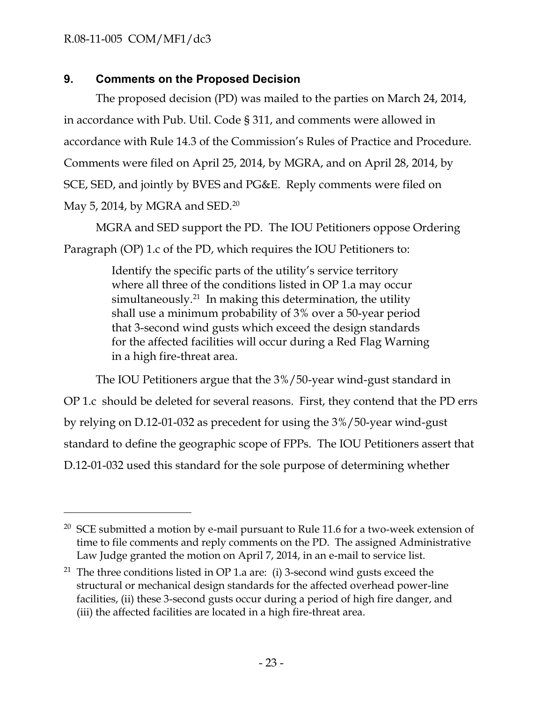$\overline{a}$ 

## **9. Comments on the Proposed Decision**

The proposed decision (PD) was mailed to the parties on March 24, 2014, in accordance with Pub. Util. Code § 311, and comments were allowed in accordance with Rule 14.3 of the Commission's Rules of Practice and Procedure. Comments were filed on April 25, 2014, by MGRA, and on April 28, 2014, by SCE, SED, and jointly by BVES and PG&E. Reply comments were filed on May 5, 2014, by MGRA and SED.<sup>20</sup>

MGRA and SED support the PD. The IOU Petitioners oppose Ordering Paragraph (OP) 1.c of the PD, which requires the IOU Petitioners to:

> Identify the specific parts of the utility's service territory where all three of the conditions listed in OP 1.a may occur simultaneously.<sup>21</sup> In making this determination, the utility shall use a minimum probability of 3% over a 50-year period that 3-second wind gusts which exceed the design standards for the affected facilities will occur during a Red Flag Warning in a high fire-threat area.

The IOU Petitioners argue that the 3%/50-year wind-gust standard in OP 1.c should be deleted for several reasons. First, they contend that the PD errs by relying on D.12-01-032 as precedent for using the 3%/50-year wind-gust standard to define the geographic scope of FPPs. The IOU Petitioners assert that D.12-01-032 used this standard for the sole purpose of determining whether

 $20$  SCE submitted a motion by e-mail pursuant to Rule 11.6 for a two-week extension of time to file comments and reply comments on the PD. The assigned Administrative Law Judge granted the motion on April 7, 2014, in an e-mail to service list.

<sup>&</sup>lt;sup>21</sup> The three conditions listed in OP 1.a are: (i) 3-second wind gusts exceed the structural or mechanical design standards for the affected overhead power-line facilities, (ii) these 3-second gusts occur during a period of high fire danger, and (iii) the affected facilities are located in a high fire-threat area.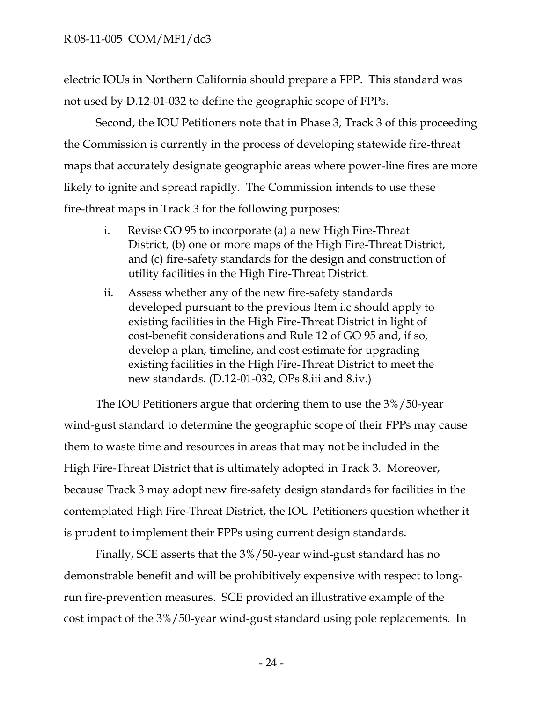electric IOUs in Northern California should prepare a FPP. This standard was not used by D.12-01-032 to define the geographic scope of FPPs.

Second, the IOU Petitioners note that in Phase 3, Track 3 of this proceeding the Commission is currently in the process of developing statewide fire-threat maps that accurately designate geographic areas where power-line fires are more likely to ignite and spread rapidly. The Commission intends to use these fire-threat maps in Track 3 for the following purposes:

- i. Revise GO 95 to incorporate (a) a new High Fire-Threat District, (b) one or more maps of the High Fire-Threat District, and (c) fire-safety standards for the design and construction of utility facilities in the High Fire-Threat District.
- ii. Assess whether any of the new fire-safety standards developed pursuant to the previous Item i.c should apply to existing facilities in the High Fire-Threat District in light of cost-benefit considerations and Rule 12 of GO 95 and, if so, develop a plan, timeline, and cost estimate for upgrading existing facilities in the High Fire-Threat District to meet the new standards. (D.12-01-032, OPs 8.iii and 8.iv.)

The IOU Petitioners argue that ordering them to use the 3%/50-year wind-gust standard to determine the geographic scope of their FPPs may cause them to waste time and resources in areas that may not be included in the High Fire-Threat District that is ultimately adopted in Track 3. Moreover, because Track 3 may adopt new fire-safety design standards for facilities in the contemplated High Fire-Threat District, the IOU Petitioners question whether it is prudent to implement their FPPs using current design standards.

Finally, SCE asserts that the 3%/50-year wind-gust standard has no demonstrable benefit and will be prohibitively expensive with respect to longrun fire-prevention measures. SCE provided an illustrative example of the cost impact of the 3%/50-year wind-gust standard using pole replacements. In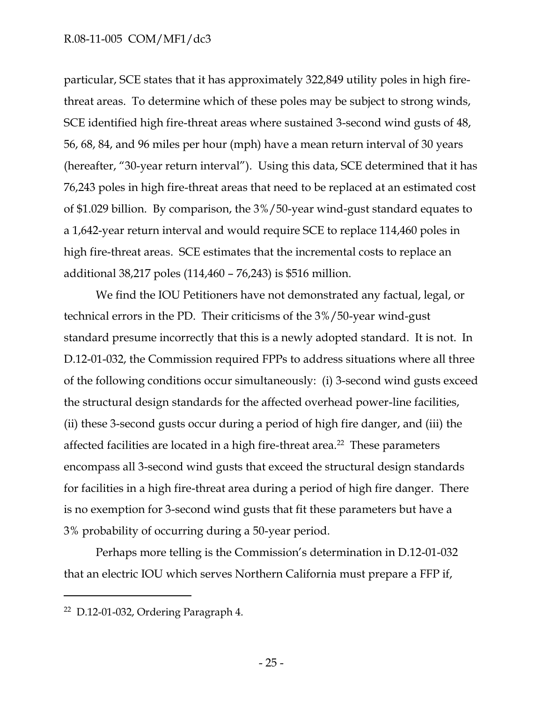particular, SCE states that it has approximately 322,849 utility poles in high firethreat areas. To determine which of these poles may be subject to strong winds, SCE identified high fire-threat areas where sustained 3-second wind gusts of 48, 56, 68, 84, and 96 miles per hour (mph) have a mean return interval of 30 years (hereafter, "30-year return interval"). Using this data, SCE determined that it has 76,243 poles in high fire-threat areas that need to be replaced at an estimated cost of \$1.029 billion. By comparison, the 3%/50-year wind-gust standard equates to a 1,642-year return interval and would require SCE to replace 114,460 poles in high fire-threat areas. SCE estimates that the incremental costs to replace an additional 38,217 poles (114,460 – 76,243) is \$516 million.

We find the IOU Petitioners have not demonstrated any factual, legal, or technical errors in the PD. Their criticisms of the 3%/50-year wind-gust standard presume incorrectly that this is a newly adopted standard. It is not. In D.12-01-032, the Commission required FPPs to address situations where all three of the following conditions occur simultaneously: (i) 3-second wind gusts exceed the structural design standards for the affected overhead power-line facilities, (ii) these 3-second gusts occur during a period of high fire danger, and (iii) the affected facilities are located in a high fire-threat area.<sup>22</sup> These parameters encompass all 3-second wind gusts that exceed the structural design standards for facilities in a high fire-threat area during a period of high fire danger. There is no exemption for 3-second wind gusts that fit these parameters but have a 3% probability of occurring during a 50-year period.

Perhaps more telling is the Commission's determination in D.12-01-032 that an electric IOU which serves Northern California must prepare a FFP if,

<sup>22</sup> D.12-01-032, Ordering Paragraph 4.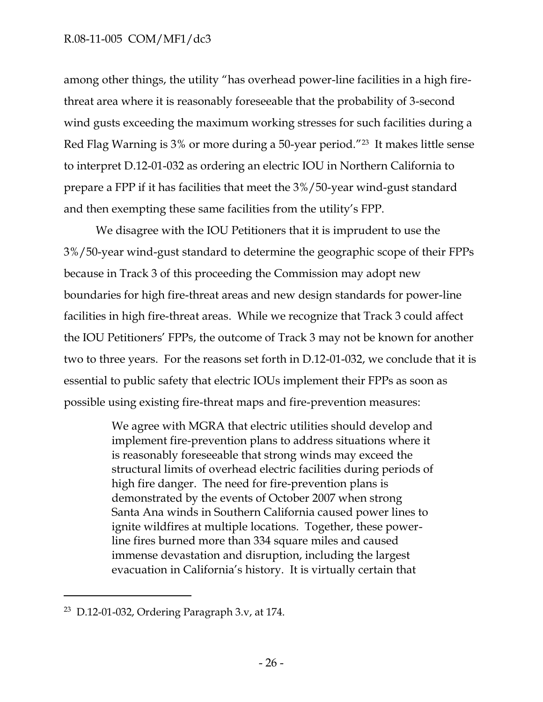#### R.08-11-005 COM/MF1/dc3

among other things, the utility "has overhead power-line facilities in a high firethreat area where it is reasonably foreseeable that the probability of 3-second wind gusts exceeding the maximum working stresses for such facilities during a Red Flag Warning is 3% or more during a 50-year period."<sup>23</sup> It makes little sense to interpret D.12-01-032 as ordering an electric IOU in Northern California to prepare a FPP if it has facilities that meet the 3%/50-year wind-gust standard and then exempting these same facilities from the utility's FPP.

We disagree with the IOU Petitioners that it is imprudent to use the 3%/50-year wind-gust standard to determine the geographic scope of their FPPs because in Track 3 of this proceeding the Commission may adopt new boundaries for high fire-threat areas and new design standards for power-line facilities in high fire-threat areas. While we recognize that Track 3 could affect the IOU Petitioners' FPPs, the outcome of Track 3 may not be known for another two to three years. For the reasons set forth in D.12-01-032, we conclude that it is essential to public safety that electric IOUs implement their FPPs as soon as possible using existing fire-threat maps and fire-prevention measures:

> We agree with MGRA that electric utilities should develop and implement fire-prevention plans to address situations where it is reasonably foreseeable that strong winds may exceed the structural limits of overhead electric facilities during periods of high fire danger. The need for fire-prevention plans is demonstrated by the events of October 2007 when strong Santa Ana winds in Southern California caused power lines to ignite wildfires at multiple locations. Together, these powerline fires burned more than 334 square miles and caused immense devastation and disruption, including the largest evacuation in California's history. It is virtually certain that

<sup>23</sup> D.12-01-032, Ordering Paragraph 3.v, at 174.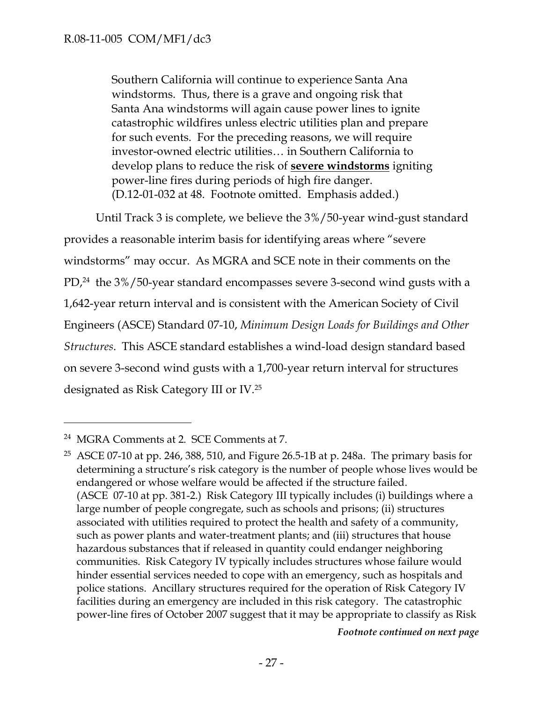Southern California will continue to experience Santa Ana windstorms. Thus, there is a grave and ongoing risk that Santa Ana windstorms will again cause power lines to ignite catastrophic wildfires unless electric utilities plan and prepare for such events. For the preceding reasons, we will require investor-owned electric utilities… in Southern California to develop plans to reduce the risk of **severe windstorms** igniting power-line fires during periods of high fire danger. (D.12-01-032 at 48. Footnote omitted. Emphasis added.)

Until Track 3 is complete, we believe the 3%/50-year wind-gust standard provides a reasonable interim basis for identifying areas where "severe windstorms" may occur. As MGRA and SCE note in their comments on the PD, <sup>24</sup> the 3%/50-year standard encompasses severe 3-second wind gusts with a 1,642-year return interval and is consistent with the American Society of Civil Engineers (ASCE) Standard 07-10, *Minimum Design Loads for Buildings and Other Structures*. This ASCE standard establishes a wind-load design standard based on severe 3-second wind gusts with a 1,700-year return interval for structures designated as Risk Category III or IV.<sup>25</sup>

 $\overline{a}$ 

*Footnote continued on next page* 

<sup>24</sup> MGRA Comments at 2. SCE Comments at 7.

<sup>&</sup>lt;sup>25</sup> ASCE 07-10 at pp. 246, 388, 510, and Figure 26.5-1B at p. 248a. The primary basis for determining a structure's risk category is the number of people whose lives would be endangered or whose welfare would be affected if the structure failed. (ASCE 07-10 at pp. 381-2.) Risk Category III typically includes (i) buildings where a large number of people congregate, such as schools and prisons; (ii) structures associated with utilities required to protect the health and safety of a community, such as power plants and water-treatment plants; and (iii) structures that house hazardous substances that if released in quantity could endanger neighboring communities. Risk Category IV typically includes structures whose failure would hinder essential services needed to cope with an emergency, such as hospitals and police stations. Ancillary structures required for the operation of Risk Category IV facilities during an emergency are included in this risk category. The catastrophic power-line fires of October 2007 suggest that it may be appropriate to classify as Risk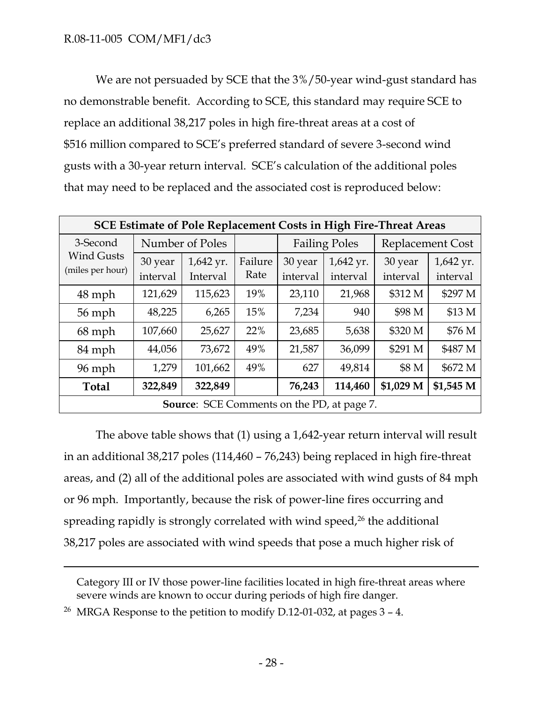We are not persuaded by SCE that the 3%/50-year wind-gust standard has no demonstrable benefit. According to SCE, this standard may require SCE to replace an additional 38,217 poles in high fire-threat areas at a cost of \$516 million compared to SCE's preferred standard of severe 3-second wind gusts with a 30-year return interval. SCE's calculation of the additional poles that may need to be replaced and the associated cost is reproduced below:

| <b>SCE Estimate of Pole Replacement Costs in High Fire-Threat Areas</b> |                 |           |         |                      |           |                         |           |  |  |  |  |
|-------------------------------------------------------------------------|-----------------|-----------|---------|----------------------|-----------|-------------------------|-----------|--|--|--|--|
| 3-Second                                                                | Number of Poles |           |         | <b>Failing Poles</b> |           | <b>Replacement Cost</b> |           |  |  |  |  |
| <b>Wind Gusts</b>                                                       | 30 year         | 1,642 yr. | Failure | 30 year              | 1,642 yr. | 30 year                 | 1,642 yr. |  |  |  |  |
| (miles per hour)                                                        | interval        | Interval  | Rate    | interval             | interval  | interval                | interval  |  |  |  |  |
| $48$ mph                                                                | 121,629         | 115,623   | 19%     | 23,110               | 21,968    | \$312 M                 | \$297 M   |  |  |  |  |
| 56 mph                                                                  | 48,225          | 6,265     | 15%     | 7,234                | 940       | \$98 M                  | \$13 M    |  |  |  |  |
| $68$ mph                                                                | 107,660         | 25,627    | 22%     | 23,685               | 5,638     | \$320 M                 | \$76 M    |  |  |  |  |
| 84 mph                                                                  | 44,056          | 73,672    | 49%     | 21,587               | 36,099    | \$291 M                 | \$487 M   |  |  |  |  |
| 96 mph                                                                  | 1,279           | 101,662   | 49%     | 627                  | 49,814    | \$8 M                   | \$672 M   |  |  |  |  |
| <b>Total</b>                                                            | 322,849         | 322,849   |         | 76,243               | 114,460   | \$1,029 M               | \$1,545 M |  |  |  |  |
| <b>Source:</b> SCE Comments on the PD, at page 7.                       |                 |           |         |                      |           |                         |           |  |  |  |  |

The above table shows that (1) using a 1,642-year return interval will result in an additional 38,217 poles (114,460 – 76,243) being replaced in high fire-threat areas, and (2) all of the additional poles are associated with wind gusts of 84 mph or 96 mph. Importantly, because the risk of power-line fires occurring and spreading rapidly is strongly correlated with wind speed, $26$  the additional 38,217 poles are associated with wind speeds that pose a much higher risk of

Category III or IV those power-line facilities located in high fire-threat areas where severe winds are known to occur during periods of high fire danger.

<sup>&</sup>lt;sup>26</sup> MRGA Response to the petition to modify D.12-01-032, at pages  $3 - 4$ .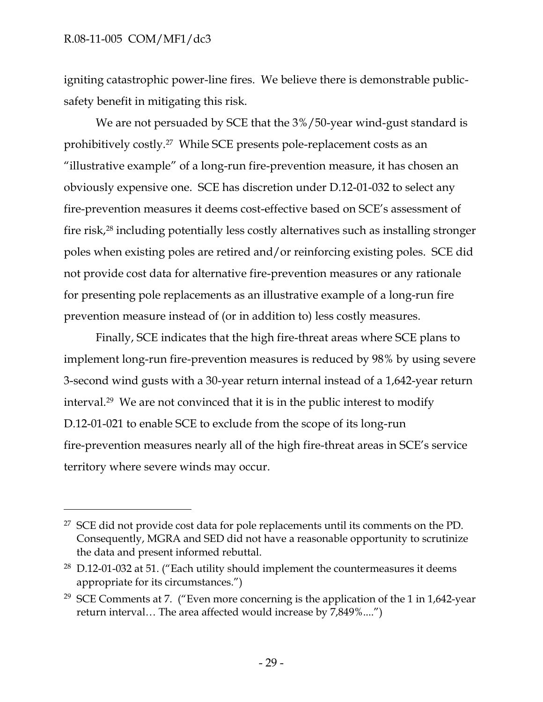$\overline{a}$ 

igniting catastrophic power-line fires. We believe there is demonstrable publicsafety benefit in mitigating this risk.

We are not persuaded by SCE that the 3%/50-year wind-gust standard is prohibitively costly. 27 While SCE presents pole-replacement costs as an "illustrative example" of a long-run fire-prevention measure, it has chosen an obviously expensive one. SCE has discretion under D.12-01-032 to select any fire-prevention measures it deems cost-effective based on SCE's assessment of fire risk,<sup>28</sup> including potentially less costly alternatives such as installing stronger poles when existing poles are retired and/or reinforcing existing poles. SCE did not provide cost data for alternative fire-prevention measures or any rationale for presenting pole replacements as an illustrative example of a long-run fire prevention measure instead of (or in addition to) less costly measures.

Finally, SCE indicates that the high fire-threat areas where SCE plans to implement long-run fire-prevention measures is reduced by 98% by using severe 3-second wind gusts with a 30-year return internal instead of a 1,642-year return interval.<sup>29</sup> We are not convinced that it is in the public interest to modify D.12-01-021 to enable SCE to exclude from the scope of its long-run fire-prevention measures nearly all of the high fire-threat areas in SCE's service territory where severe winds may occur.

 $27$  SCE did not provide cost data for pole replacements until its comments on the PD. Consequently, MGRA and SED did not have a reasonable opportunity to scrutinize the data and present informed rebuttal.

<sup>&</sup>lt;sup>28</sup> D.12-01-032 at 51. ("Each utility should implement the countermeasures it deems appropriate for its circumstances.")

<sup>&</sup>lt;sup>29</sup> SCE Comments at 7. ("Even more concerning is the application of the 1 in 1,642-year return interval… The area affected would increase by 7,849%....")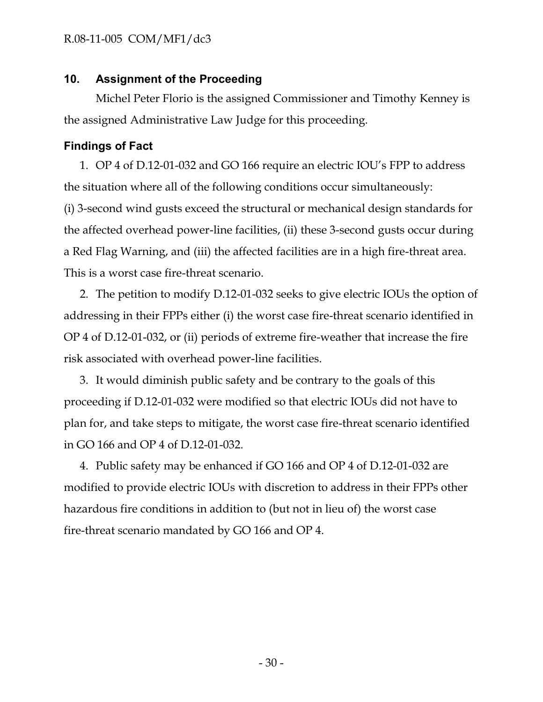### **10. Assignment of the Proceeding**

Michel Peter Florio is the assigned Commissioner and Timothy Kenney is the assigned Administrative Law Judge for this proceeding.

### **Findings of Fact**

1. OP 4 of D.12-01-032 and GO 166 require an electric IOU's FPP to address the situation where all of the following conditions occur simultaneously: (i) 3-second wind gusts exceed the structural or mechanical design standards for the affected overhead power-line facilities, (ii) these 3-second gusts occur during a Red Flag Warning, and (iii) the affected facilities are in a high fire-threat area. This is a worst case fire-threat scenario.

2. The petition to modify D.12-01-032 seeks to give electric IOUs the option of addressing in their FPPs either (i) the worst case fire-threat scenario identified in OP 4 of D.12-01-032, or (ii) periods of extreme fire-weather that increase the fire risk associated with overhead power-line facilities.

3. It would diminish public safety and be contrary to the goals of this proceeding if D.12-01-032 were modified so that electric IOUs did not have to plan for, and take steps to mitigate, the worst case fire-threat scenario identified in GO 166 and OP 4 of D.12-01-032.

4. Public safety may be enhanced if GO 166 and OP 4 of D.12-01-032 are modified to provide electric IOUs with discretion to address in their FPPs other hazardous fire conditions in addition to (but not in lieu of) the worst case fire-threat scenario mandated by GO 166 and OP 4.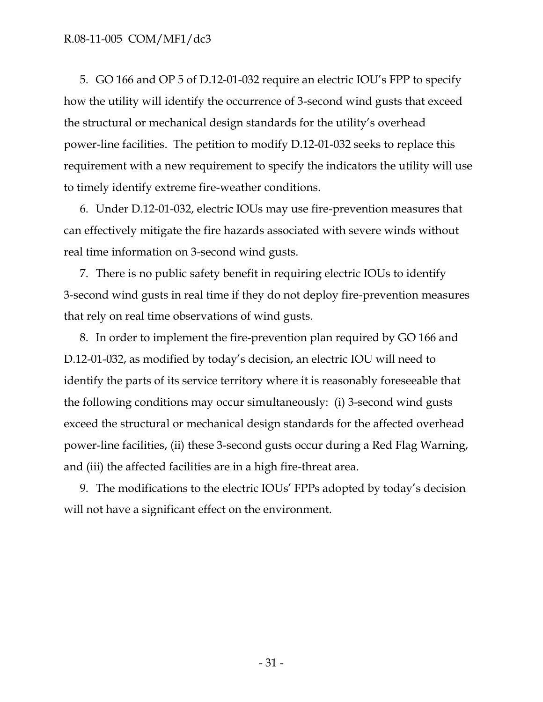5. GO 166 and OP 5 of D.12-01-032 require an electric IOU's FPP to specify how the utility will identify the occurrence of 3-second wind gusts that exceed the structural or mechanical design standards for the utility's overhead power-line facilities. The petition to modify D.12-01-032 seeks to replace this requirement with a new requirement to specify the indicators the utility will use to timely identify extreme fire-weather conditions.

6. Under D.12-01-032, electric IOUs may use fire-prevention measures that can effectively mitigate the fire hazards associated with severe winds without real time information on 3-second wind gusts.

7. There is no public safety benefit in requiring electric IOUs to identify 3-second wind gusts in real time if they do not deploy fire-prevention measures that rely on real time observations of wind gusts.

8. In order to implement the fire-prevention plan required by GO 166 and D.12-01-032, as modified by today's decision, an electric IOU will need to identify the parts of its service territory where it is reasonably foreseeable that the following conditions may occur simultaneously: (i) 3-second wind gusts exceed the structural or mechanical design standards for the affected overhead power-line facilities, (ii) these 3-second gusts occur during a Red Flag Warning, and (iii) the affected facilities are in a high fire-threat area.

9. The modifications to the electric IOUs' FPPs adopted by today's decision will not have a significant effect on the environment.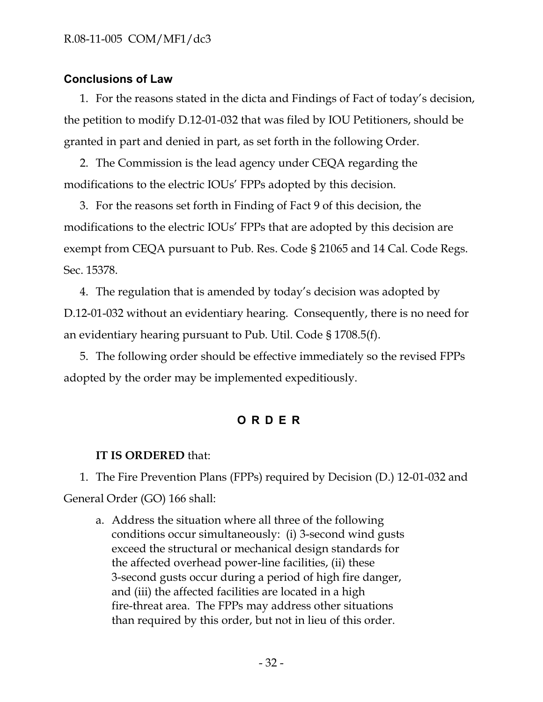#### **Conclusions of Law**

1. For the reasons stated in the dicta and Findings of Fact of today's decision, the petition to modify D.12-01-032 that was filed by IOU Petitioners, should be granted in part and denied in part, as set forth in the following Order.

2. The Commission is the lead agency under CEQA regarding the modifications to the electric IOUs' FPPs adopted by this decision.

3. For the reasons set forth in Finding of Fact 9 of this decision, the modifications to the electric IOUs' FPPs that are adopted by this decision are exempt from CEQA pursuant to Pub. Res. Code § 21065 and 14 Cal. Code Regs. Sec. 15378.

4. The regulation that is amended by today's decision was adopted by D.12-01-032 without an evidentiary hearing. Consequently, there is no need for an evidentiary hearing pursuant to Pub. Util. Code § 1708.5(f).

5. The following order should be effective immediately so the revised FPPs adopted by the order may be implemented expeditiously.

### **ORDER**

#### **IT IS ORDERED** that:

1. The Fire Prevention Plans (FPPs) required by Decision (D.) 12-01-032 and General Order (GO) 166 shall:

a. Address the situation where all three of the following conditions occur simultaneously: (i) 3-second wind gusts exceed the structural or mechanical design standards for the affected overhead power-line facilities, (ii) these 3-second gusts occur during a period of high fire danger, and (iii) the affected facilities are located in a high fire-threat area. The FPPs may address other situations than required by this order, but not in lieu of this order.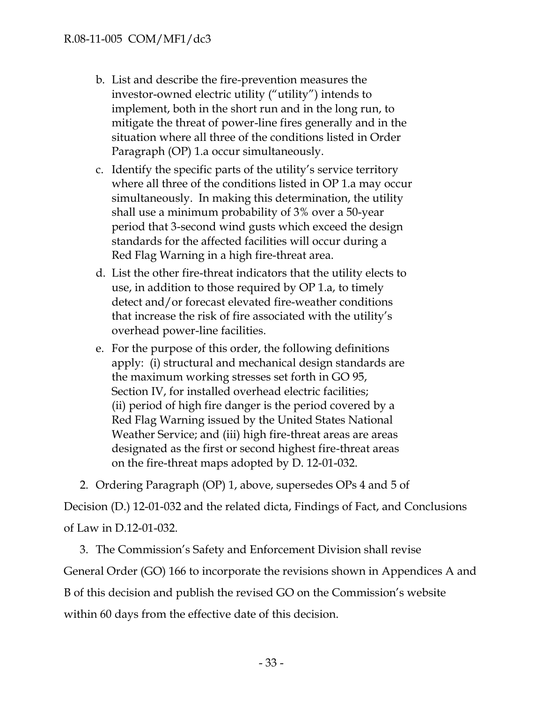- b. List and describe the fire-prevention measures the investor-owned electric utility ("utility") intends to implement, both in the short run and in the long run, to mitigate the threat of power-line fires generally and in the situation where all three of the conditions listed in Order Paragraph (OP) 1.a occur simultaneously.
- c. Identify the specific parts of the utility's service territory where all three of the conditions listed in OP 1.a may occur simultaneously. In making this determination, the utility shall use a minimum probability of 3% over a 50-year period that 3-second wind gusts which exceed the design standards for the affected facilities will occur during a Red Flag Warning in a high fire-threat area.
- d. List the other fire-threat indicators that the utility elects to use, in addition to those required by OP 1.a, to timely detect and/or forecast elevated fire-weather conditions that increase the risk of fire associated with the utility's overhead power-line facilities.
- e. For the purpose of this order, the following definitions apply: (i) structural and mechanical design standards are the maximum working stresses set forth in GO 95, Section IV, for installed overhead electric facilities; (ii) period of high fire danger is the period covered by a Red Flag Warning issued by the United States National Weather Service; and (iii) high fire-threat areas are areas designated as the first or second highest fire-threat areas on the fire-threat maps adopted by D. 12-01-032.

2. Ordering Paragraph (OP) 1, above, supersedes OPs 4 and 5 of Decision (D.) 12-01-032 and the related dicta, Findings of Fact, and Conclusions of Law in D.12-01-032.

3. The Commission's Safety and Enforcement Division shall revise General Order (GO) 166 to incorporate the revisions shown in Appendices A and B of this decision and publish the revised GO on the Commission's website within 60 days from the effective date of this decision.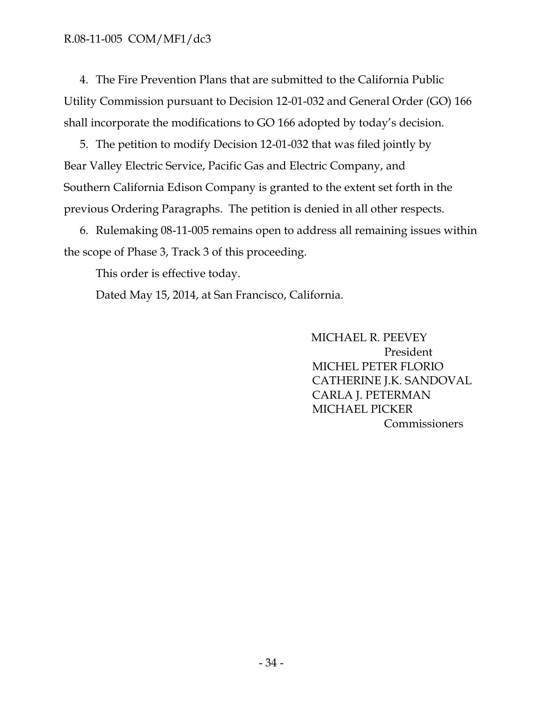4. The Fire Prevention Plans that are submitted to the California Public Utility Commission pursuant to Decision 12-01-032 and General Order (GO) 166 shall incorporate the modifications to GO 166 adopted by today's decision.

5. The petition to modify Decision 12-01-032 that was filed jointly by Bear Valley Electric Service, Pacific Gas and Electric Company, and Southern California Edison Company is granted to the extent set forth in the previous Ordering Paragraphs. The petition is denied in all other respects.

6. Rulemaking 08-11-005 remains open to address all remaining issues within the scope of Phase 3, Track 3 of this proceeding.

This order is effective today.

Dated May 15, 2014, at San Francisco, California.

MICHAEL R. PEEVEY President MICHEL PETER FLORIO CATHERINE J.K. SANDOVAL CARLA J. PETERMAN MICHAEL PICKER Commissioners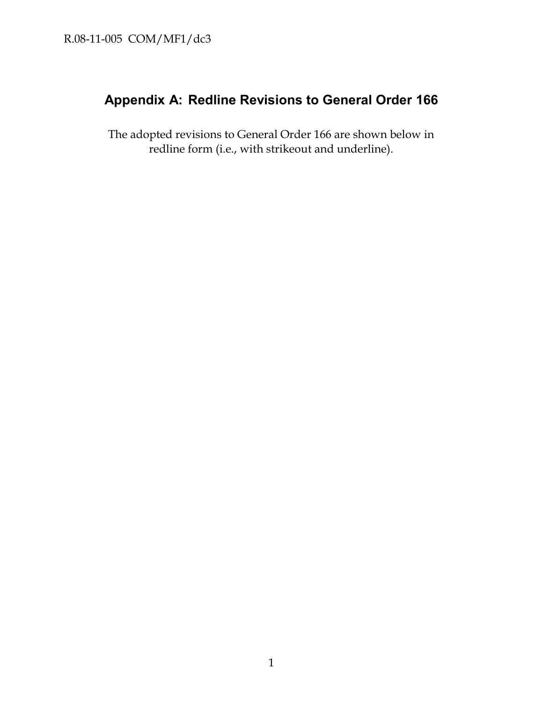# **Appendix A: Redline Revisions to General Order 166**

The adopted revisions to General Order 166 are shown below in redline form (i.e., with strikeout and underline).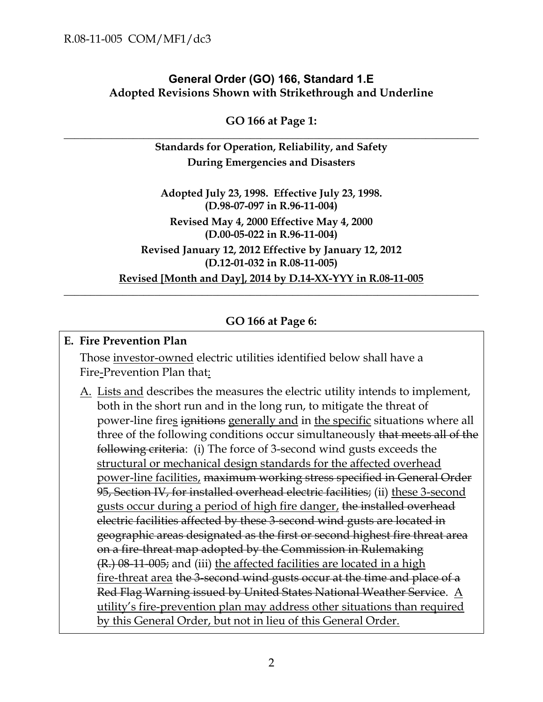### **General Order (GO) 166, Standard 1.E Adopted Revisions Shown with Strikethrough and Underline**

**GO 166 at Page 1: \_\_\_\_\_\_\_\_\_\_\_\_\_\_\_\_\_\_\_\_\_\_\_\_\_\_\_\_\_\_\_\_\_\_\_\_\_\_\_\_\_\_\_\_\_\_\_\_\_\_\_\_\_\_\_\_\_\_\_\_\_\_\_\_\_\_\_\_\_\_\_\_\_\_\_\_\_\_**

> **Standards for Operation, Reliability, and Safety During Emergencies and Disasters**

**Adopted July 23, 1998. Effective July 23, 1998. (D.98-07-097 in R.96-11-004)** 

**Revised May 4, 2000 Effective May 4, 2000 (D.00-05-022 in R.96-11-004)**

**Revised January 12, 2012 Effective by January 12, 2012 (D.12-01-032 in R.08-11-005)**

**Revised [Month and Day], 2014 by D.14-XX-YYY in R.08-11-005 \_\_\_\_\_\_\_\_\_\_\_\_\_\_\_\_\_\_\_\_\_\_\_\_\_\_\_\_\_\_\_\_\_\_\_\_\_\_\_\_\_\_\_\_\_\_\_\_\_\_\_\_\_\_\_\_\_\_\_\_\_\_\_\_\_\_\_\_\_\_\_\_\_\_\_\_\_\_**

### **GO 166 at Page 6:**

### **E. Fire Prevention Plan**

Those investor-owned electric utilities identified below shall have a Fire-Prevention Plan that:

A. Lists and describes the measures the electric utility intends to implement, both in the short run and in the long run, to mitigate the threat of power-line fires ignitions generally and in the specific situations where all three of the following conditions occur simultaneously that meets all of the following criteria: (i) The force of 3-second wind gusts exceeds the structural or mechanical design standards for the affected overhead power-line facilities, maximum working stress specified in General Order 95, Section IV, for installed overhead electric facilities; (ii) these 3-second gusts occur during a period of high fire danger, the installed overhead electric facilities affected by these 3-second wind gusts are located in geographic areas designated as the first or second highest fire threat area on a fire-threat map adopted by the Commission in Rulemaking (R.) 08-11-005; and (iii) the affected facilities are located in a high fire-threat area the 3-second wind gusts occur at the time and place of a Red Flag Warning issued by United States National Weather Service. A utility's fire-prevention plan may address other situations than required by this General Order, but not in lieu of this General Order.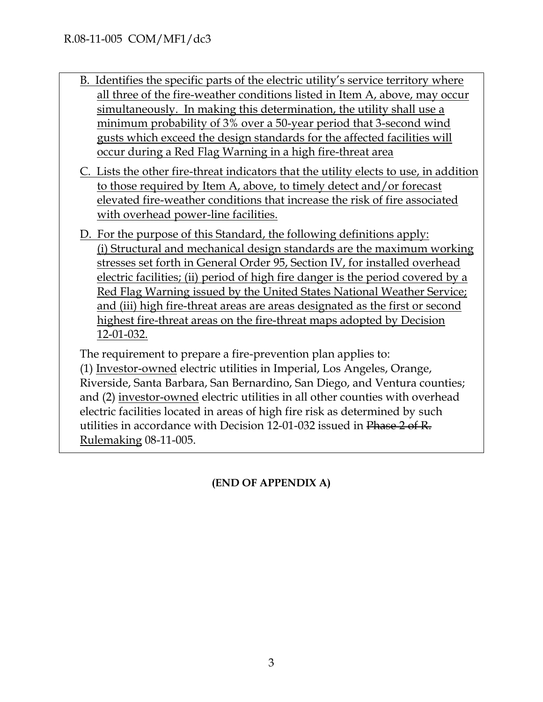- B. Identifies the specific parts of the electric utility's service territory where all three of the fire-weather conditions listed in Item A, above, may occur simultaneously. In making this determination, the utility shall use a minimum probability of 3% over a 50-year period that 3-second wind gusts which exceed the design standards for the affected facilities will occur during a Red Flag Warning in a high fire-threat area
- C. Lists the other fire-threat indicators that the utility elects to use, in addition to those required by Item A, above, to timely detect and/or forecast elevated fire-weather conditions that increase the risk of fire associated with overhead power-line facilities.
- D. For the purpose of this Standard, the following definitions apply: (i) Structural and mechanical design standards are the maximum working stresses set forth in General Order 95, Section IV, for installed overhead electric facilities; (ii) period of high fire danger is the period covered by a Red Flag Warning issued by the United States National Weather Service; and (iii) high fire-threat areas are areas designated as the first or second highest fire-threat areas on the fire-threat maps adopted by Decision 12-01-032.

The requirement to prepare a fire-prevention plan applies to:

(1) Investor-owned electric utilities in Imperial, Los Angeles, Orange, Riverside, Santa Barbara, San Bernardino, San Diego, and Ventura counties; and (2) investor-owned electric utilities in all other counties with overhead electric facilities located in areas of high fire risk as determined by such utilities in accordance with Decision 12-01-032 issued in Phase 2 of R. Rulemaking 08-11-005.

**(END OF APPENDIX A)**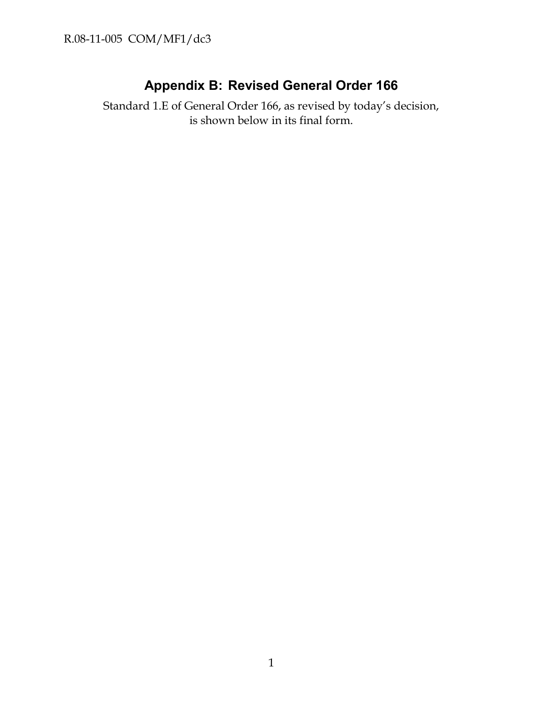# **Appendix B: Revised General Order 166**

Standard 1.E of General Order 166, as revised by today's decision, is shown below in its final form.